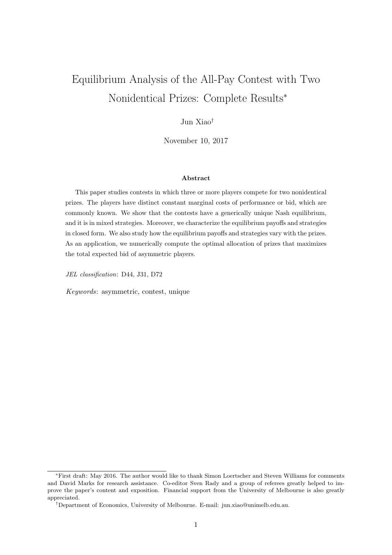# Equilibrium Analysis of the All-Pay Contest with Two Nonidentical Prizes: Complete Results<sup>∗</sup>

## Jun Xiao†

November 10, 2017

## Abstract

This paper studies contests in which three or more players compete for two nonidentical prizes. The players have distinct constant marginal costs of performance or bid, which are commonly known. We show that the contests have a generically unique Nash equilibrium, and it is in mixed strategies. Moreover, we characterize the equilibrium payoffs and strategies in closed form. We also study how the equilibrium payoffs and strategies vary with the prizes. As an application, we numerically compute the optimal allocation of prizes that maximizes the total expected bid of asymmetric players.

JEL classification: D44, J31, D72

Keywords: asymmetric, contest, unique

<sup>∗</sup>First draft: May 2016. The author would like to thank Simon Loertscher and Steven Williams for comments and David Marks for research assistance. Co-editor Sven Rady and a group of referees greatly helped to improve the paper's content and exposition. Financial support from the University of Melbourne is also greatly appreciated.

<sup>†</sup>Department of Economics, University of Melbourne. E-mail: jun.xiao@unimelb.edu.au.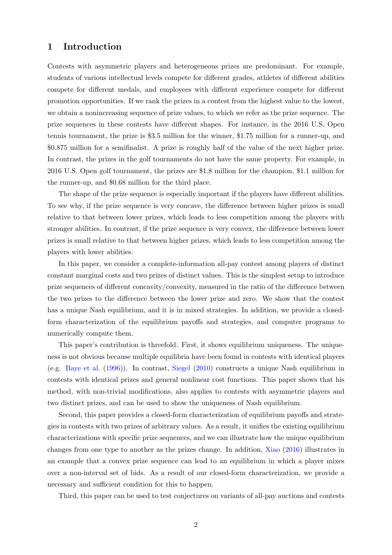# <span id="page-1-0"></span>1 Introduction

Contests with asymmetric players and heterogeneous prizes are predominant. For example, students of various intellectual levels compete for different grades, athletes of different abilities compete for different medals, and employees with different experience compete for different promotion opportunities. If we rank the prizes in a contest from the highest value to the lowest, we obtain a nonincreasing sequence of prize values, to which we refer as the prize sequence. The prize sequences in these contests have different shapes. For instance, in the 2016 U.S. Open tennis tournament, the prize is \$3.5 million for the winner, \$1.75 million for a runner-up, and \$0.875 million for a semifinalist. A prize is roughly half of the value of the next higher prize. In contrast, the prizes in the golf tournaments do not have the same property. For example, in 2016 U.S. Open golf tournament, the prizes are \$1.8 million for the champion, \$1.1 million for the runner-up, and \$0.68 million for the third place.

The shape of the prize sequence is especially important if the players have different abilities. To see why, if the prize sequence is very concave, the difference between higher prizes is small relative to that between lower prizes, which leads to less competition among the players with stronger abilities. In contrast, if the prize sequence is very convex, the difference between lower prizes is small relative to that between higher prizes, which leads to less competition among the players with lower abilities.

In this paper, we consider a complete-information all-pay contest among players of distinct constant marginal costs and two prizes of distinct values. This is the simplest setup to introduce prize sequences of different concavity/convexity, measured in the ratio of the difference between the two prizes to the difference between the lower prize and zero. We show that the contest has a unique Nash equilibrium, and it is in mixed strategies. In addition, we provide a closedform characterization of the equilibrium payoffs and strategies, and computer programs to numerically compute them.

This paper's contribution is threefold. First, it shows equilibrium uniqueness. The uniqueness is not obvious because multiple equilibria have been found in contests with identical players (e.g. [Baye et al.](#page-16-0) [\(1996\)](#page-16-0)). In contrast, [Siegel](#page-17-0) [\(2010\)](#page-17-0) constructs a unique Nash equilibrium in contests with identical prizes and general nonlinear cost functions. This paper shows that his method, with non-trivial modifications, also applies to contests with asymmetric players and two distinct prizes, and can be used to show the uniqueness of Nash equilibrium.

Second, this paper provides a closed-form characterization of equilibrium payoffs and strategies in contests with two prizes of arbitrary values. As a result, it unifies the existing equilibrium characterizations with specific prize sequences, and we can illustrate how the unique equilibrium changes from one type to another as the prizes change. In addition, [Xiao](#page-18-0) [\(2016\)](#page-18-0) illustrates in an example that a convex prize sequence can lead to an equilibrium in which a player mixes over a non-interval set of bids. As a result of our closed-form characterization, we provide a necessary and sufficient condition for this to happen.

Third, this paper can be used to test conjectures on variants of all-pay auctions and contests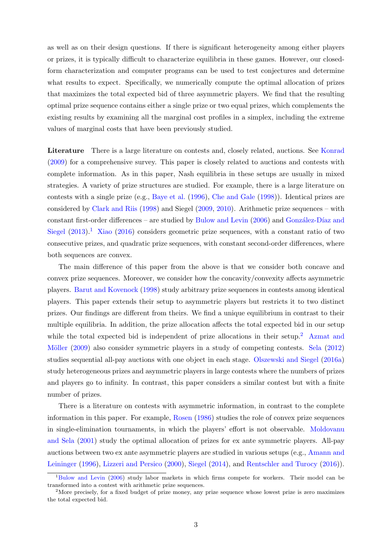<span id="page-2-2"></span>as well as on their design questions. If there is significant heterogeneity among either players or prizes, it is typically difficult to characterize equilibria in these games. However, our closedform characterization and computer programs can be used to test conjectures and determine what results to expect. Specifically, we numerically compute the optimal allocation of prizes that maximizes the total expected bid of three asymmetric players. We find that the resulting optimal prize sequence contains either a single prize or two equal prizes, which complements the existing results by examining all the marginal cost profiles in a simplex, including the extreme values of marginal costs that have been previously studied.

Literature There is a large literature on contests and, closely related, auctions. See [Konrad](#page-17-1) [\(2009\)](#page-17-1) for a comprehensive survey. This paper is closely related to auctions and contests with complete information. As in this paper, Nash equilibria in these setups are usually in mixed strategies. A variety of prize structures are studied. For example, there is a large literature on contests with a single prize (e.g., [Baye et al.](#page-16-0) [\(1996\)](#page-16-0), [Che and Gale](#page-17-2) [\(1998\)](#page-17-2)). Identical prizes are considered by [Clark and Riis](#page-16-1) [\(1998\)](#page-16-1) and Siegel [\(2009,](#page-17-3) [2010\)](#page-17-0). Arithmetic prize sequences – with constant first-order differences – are studied by [Bulow and Levin](#page-16-2)  $(2006)$  and González-Díaz and [Siegel](#page-17-4)  $(2013)^{1}$  $(2013)^{1}$  $(2013)^{1}$  $(2013)^{1}$  [Xiao](#page-18-0)  $(2016)$  considers geometric prize sequences, with a constant ratio of two consecutive prizes, and quadratic prize sequences, with constant second-order differences, where both sequences are convex.

The main difference of this paper from the above is that we consider both concave and convex prize sequences. Moreover, we consider how the concavity/convexity affects asymmetric players. [Barut and Kovenock](#page-16-3) [\(1998\)](#page-16-3) study arbitrary prize sequences in contests among identical players. This paper extends their setup to asymmetric players but restricts it to two distinct prizes. Our findings are different from theirs. We find a unique equilibrium in contrast to their multiple equilibria. In addition, the prize allocation affects the total expected bid in our setup while the total expected bid is independent of prize allocations in their setup.<sup>[2](#page-2-1)</sup> [Azmat and](#page-16-4) Möller [\(2009\)](#page-16-4) also consider symmetric players in a study of competing contests. [Sela](#page-17-5) [\(2012\)](#page-17-5) studies sequential all-pay auctions with one object in each stage. [Olszewski and Siegel](#page-17-6) [\(2016a\)](#page-17-6) study heterogeneous prizes and asymmetric players in large contests where the numbers of prizes and players go to infinity. In contrast, this paper considers a similar contest but with a finite number of prizes.

There is a literature on contests with asymmetric information, in contrast to the complete information in this paper. For example, [Rosen](#page-17-7) [\(1986\)](#page-17-7) studies the role of convex prize sequences in single-elimination tournaments, in which the players' effort is not observable. [Moldovanu](#page-17-8) [and Sela](#page-17-8) [\(2001\)](#page-17-8) study the optimal allocation of prizes for ex ante symmetric players. All-pay auctions between two ex ante asymmetric players are studied in various setups (e.g., [Amann and](#page-16-5) [Leininger](#page-16-5) [\(1996\)](#page-16-5), [Lizzeri and Persico](#page-17-9) [\(2000\)](#page-17-9), [Siegel](#page-18-1) [\(2014\)](#page-18-1), and [Rentschler and Turocy](#page-17-10) [\(2016\)](#page-17-10)).

<span id="page-2-0"></span><sup>&</sup>lt;sup>1</sup>[Bulow and Levin](#page-16-2) [\(2006\)](#page-16-2) study labor markets in which firms compete for workers. Their model can be transformed into a contest with arithmetic prize sequences.

<span id="page-2-1"></span> $2^2$ More precisely, for a fixed budget of prize money, any prize sequence whose lowest prize is zero maximizes the total expected bid.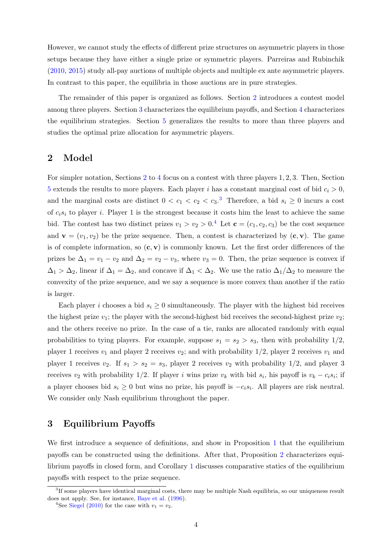<span id="page-3-4"></span>However, we cannot study the effects of different prize structures on asymmetric players in those setups because they have either a single prize or symmetric players. Parreiras and Rubinchik [\(2010,](#page-17-11) [2015\)](#page-17-12) study all-pay auctions of multiple objects and multiple ex ante asymmetric players. In contrast to this paper, the equilibria in those auctions are in pure strategies.

The remainder of this paper is organized as follows. Section [2](#page-3-0) introduces a contest model among three players. Section [3](#page-3-1) characterizes the equilibrium payoffs, and Section [4](#page-9-0) characterizes the equilibrium strategies. Section [5](#page-14-0) generalizes the results to more than three players and studies the optimal prize allocation for asymmetric players.

## <span id="page-3-0"></span>2 Model

For simpler notation, Sections [2](#page-3-0) to [4](#page-9-0) focus on a contest with three players 1, 2, 3. Then, Section [5](#page-14-0) extends the results to more players. Each player i has a constant marginal cost of bid  $c_i > 0$ , and the marginal costs are distinct  $0 < c_1 < c_2 < c_3$  $0 < c_1 < c_2 < c_3$ .<sup>3</sup> Therefore, a bid  $s_i \geq 0$  incurs a cost of  $c_i s_i$  to player i. Player 1 is the strongest because it costs him the least to achieve the same bid. The contest has two distinct prizes  $v_1 > v_2 > 0.4$  $v_1 > v_2 > 0.4$  Let  $\mathbf{c} = (c_1, c_2, c_3)$  be the cost sequence and  $\mathbf{v} = (v_1, v_2)$  be the prize sequence. Then, a contest is characterized by  $(\mathbf{c}, \mathbf{v})$ . The game is of complete information, so  $(c, v)$  is commonly known. Let the first order differences of the prizes be  $\Delta_1 = v_1 - v_2$  and  $\Delta_2 = v_2 - v_3$ , where  $v_3 = 0$ . Then, the prize sequence is convex if  $\Delta_1 > \Delta_2$ , linear if  $\Delta_1 = \Delta_2$ , and concave if  $\Delta_1 < \Delta_2$ . We use the ratio  $\Delta_1/\Delta_2$  to measure the convexity of the prize sequence, and we say a sequence is more convex than another if the ratio is larger.

Each player i chooses a bid  $s_i \geq 0$  simultaneously. The player with the highest bid receives the highest prize  $v_1$ ; the player with the second-highest bid receives the second-highest prize  $v_2$ ; and the others receive no prize. In the case of a tie, ranks are allocated randomly with equal probabilities to tying players. For example, suppose  $s_1 = s_2 > s_3$ , then with probability  $1/2$ , player 1 receives  $v_1$  and player 2 receives  $v_2$ ; and with probability  $1/2$ , player 2 receives  $v_1$  and player 1 receives  $v_2$ . If  $s_1 > s_2 = s_3$ , player 2 receives  $v_2$  with probability 1/2, and player 3 receives  $v_2$  with probability 1/2. If player i wins prize  $v_k$  with bid  $s_i$ , his payoff is  $v_k - c_i s_i$ ; if a player chooses bid  $s_i \geq 0$  but wins no prize, his payoff is  $-c_i s_i$ . All players are risk neutral. We consider only Nash equilibrium throughout the paper.

# <span id="page-3-1"></span>3 Equilibrium Payoffs

We first introduce a sequence of definitions, and show in Proposition [1](#page-6-0) that the equilibrium payoffs can be constructed using the definitions. After that, Proposition [2](#page-8-0) characterizes equilibrium payoffs in closed form, and Corollary [1](#page-9-1) discusses comparative statics of the equilibrium payoffs with respect to the prize sequence.

<span id="page-3-2"></span><sup>3</sup> If some players have identical marginal costs, there may be multiple Nash equilibria, so our uniqueness result does not apply. See, for instance, [Baye et al.](#page-16-0) [\(1996\)](#page-16-0).

<span id="page-3-3"></span><sup>&</sup>lt;sup>4</sup>See [Siegel](#page-17-0) [\(2010\)](#page-17-0) for the case with  $v_1 = v_2$ .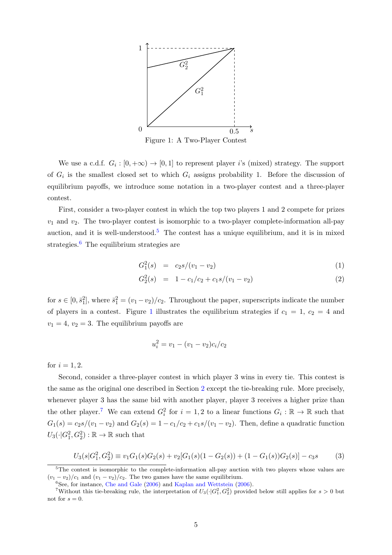<span id="page-4-4"></span><span id="page-4-2"></span>

Figure 1: A Two-Player Contest

We use a c.d.f.  $G_i : [0, +\infty) \to [0, 1]$  to represent player i's (mixed) strategy. The support of  $G_i$  is the smallest closed set to which  $G_i$  assigns probability 1. Before the discussion of equilibrium payoffs, we introduce some notation in a two-player contest and a three-player contest.

First, consider a two-player contest in which the top two players 1 and 2 compete for prizes  $v_1$  and  $v_2$ . The two-player contest is isomorphic to a two-player complete-information all-pay auction, and it is well-understood.<sup>[5](#page-4-0)</sup> The contest has a unique equilibrium, and it is in mixed strategies. $\delta$  The equilibrium strategies are

<span id="page-4-5"></span>
$$
G_1^2(s) = c_2 s / (v_1 - v_2) \tag{1}
$$

$$
G_2^2(s) = 1 - c_1/c_2 + c_1 s/(v_1 - v_2)
$$
\n(2)

for  $s \in [0, \bar{s}_1^2]$ , where  $\bar{s}_1^2 = (v_1 - v_2)/c_2$ . Throughout the paper, superscripts indicate the number of players in a contest. Figure [1](#page-4-2) illustrates the equilibrium strategies if  $c_1 = 1, c_2 = 4$  and  $v_1 = 4, v_2 = 3$ . The equilibrium payoffs are

$$
u_i^2 = v_1 - (v_1 - v_2)c_i/c_2
$$

for  $i = 1, 2$ .

Second, consider a three-player contest in which player 3 wins in every tie. This contest is the same as the original one described in Section [2](#page-3-0) except the tie-breaking rule. More precisely, whenever player 3 has the same bid with another player, player 3 receives a higher prize than the other player.<sup>[7](#page-4-3)</sup> We can extend  $G_i^2$  for  $i = 1, 2$  to a linear functions  $G_i : \mathbb{R} \to \mathbb{R}$  such that  $G_1(s) = c_2s/(v_1 - v_2)$  and  $G_2(s) = 1 - c_1/c_2 + c_1s/(v_1 - v_2)$ . Then, define a quadratic function  $U_3(\cdot|G_1^2, G_2^2): \mathbb{R} \to \mathbb{R}$  such that

<span id="page-4-6"></span>
$$
U_3(s|G_1^2, G_2^2) \equiv v_1 G_1(s)G_2(s) + v_2[G_1(s)(1 - G_2(s)) + (1 - G_1(s))G_2(s)] - c_3s \tag{3}
$$

<span id="page-4-0"></span><sup>&</sup>lt;sup>5</sup>The contest is isomorphic to the complete-information all-pay auction with two players whose values are  $(v_1 - v_2)/c_1$  and  $(v_1 - v_2)/c_2$ . The two games have the same equilibrium.

<span id="page-4-3"></span><span id="page-4-1"></span> ${}^{6}$ See, for instance, [Che and Gale](#page-17-13) [\(2006\)](#page-17-14) and [Kaplan and Wettstein](#page-17-14) (2006).

<sup>&</sup>lt;sup>7</sup>Without this tie-breaking rule, the interpretation of  $U_3(\cdot|G_1^2, G_2^2)$  provided below still applies for  $s > 0$  but not for  $s = 0$ .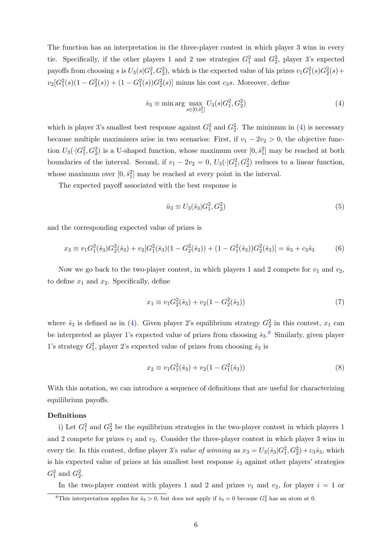The function has an interpretation in the three-player contest in which player 3 wins in every tie. Specifically, if the other players 1 and 2 use strategies  $G_1^2$  and  $G_2^2$ , player 3's expected payoffs from choosing s is  $U_3(s|G_1^2, G_2^2)$ , which is the expected value of his prizes  $v_1G_1^2(s)G_2^2(s)$  +  $v_2[G_1^2(s)(1-G_2^2(s)) + (1-G_1^2(s))G_2^2(s)]$  minus his cost  $c_3s$ . Moreover, define

<span id="page-5-0"></span>
$$
\hat{s}_3 \equiv \min \arg \max_{s \in [0, \bar{s}_1^2]} U_3(s | G_1^2, G_2^2)
$$
\n(4)

which is player 3's smallest best response against  $G_1^2$  and  $G_2^2$ . The minimum in [\(4\)](#page-5-0) is necessary because multiple maximizers arise in two scenarios: First, if  $v_1 - 2v_2 > 0$ , the objective function  $U_3(\cdot|G_1^2, G_2^2)$  is a U-shaped function, whose maximum over  $[0, \bar{s}_1^2]$  may be reached at both boundaries of the interval. Second, if  $v_1 - 2v_2 = 0$ ,  $U_3(\cdot | G_1^2, G_2^2)$  reduces to a linear function, whose maximum over  $[0, \bar{s}_1^2]$  may be reached at every point in the interval.

The expected payoff associated with the best response is

<span id="page-5-5"></span>
$$
\hat{u}_3 \equiv U_3(\hat{s}_3|G_1^2, G_2^2) \tag{5}
$$

and the corresponding expected value of prizes is

<span id="page-5-4"></span>
$$
x_3 \equiv v_1 G_1^2(\hat{s}_3) G_2^2(\hat{s}_3) + v_2 [G_1^2(\hat{s}_3)(1 - G_2^2(\hat{s}_3)) + (1 - G_1^2(\hat{s}_3)) G_2^2(\hat{s}_3)] = \hat{u}_3 + c_3 \hat{s}_3
$$
(6)

Now we go back to the two-player contest, in which players 1 and 2 compete for  $v_1$  and  $v_2$ , to define  $x_1$  and  $x_2$ . Specifically, define

<span id="page-5-2"></span>
$$
x_1 \equiv v_1 G_2^2(\hat{s}_3) + v_2(1 - G_2^2(\hat{s}_3))
$$
\n<sup>(7)</sup>

where  $\hat{s}_3$  is defined as in [\(4\)](#page-5-0). Given player 2's equilibrium strategy  $G_2^2$  in this contest,  $x_1$  can be interpreted as player 1's expected value of prizes from choosing  $\hat{s}_3$ .<sup>[8](#page-5-1)</sup> Similarly, given player 1's strategy  $G_1^2$ , player 2's expected value of prizes from choosing  $\hat{s}_3$  is

<span id="page-5-3"></span>
$$
x_2 \equiv v_1 G_1^2(\hat{s}_3) + v_2(1 - G_1^2(\hat{s}_3))
$$
\n(8)

With this notation, we can introduce a sequence of definitions that are useful for characterizing equilibrium payoffs.

## Definitions

i) Let  $G_1^2$  and  $G_2^2$  be the equilibrium strategies in the two-player contest in which players 1 and 2 compete for prizes  $v_1$  and  $v_2$ . Consider the three-player contest in which player 3 wins in every tie. In this contest, define player 3's value of winning as  $x_3 = U_3(\hat{s}_3|G_1^2, G_2^2) + c_3\hat{s}_3$ , which is his expected value of prizes at his smallest best response  $\hat{s}_3$  against other players' strategies  $G_1^2$  and  $G_2^2$ .

In the two-player contest with players 1 and 2 and prizes  $v_1$  and  $v_2$ , for player  $i = 1$  or

<span id="page-5-1"></span><sup>&</sup>lt;sup>8</sup>This interpretation applies for  $\hat{s}_3 > 0$ , but does not apply if  $\hat{s}_3 = 0$  because  $G_2^2$  has an atom at 0.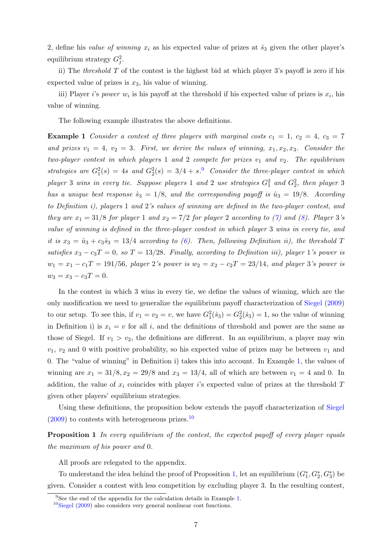<span id="page-6-4"></span>2, define his value of winning  $x_i$  as his expected value of prizes at  $\hat{s}_3$  given the other player's equilibrium strategy  $G_j^2$ .

ii) The *threshold*  $T$  of the contest is the highest bid at which player 3's payoff is zero if his expected value of prizes is  $x_3$ , his value of winning.

iii) Player *i*'s *power*  $w_i$  is his payoff at the threshold if his expected value of prizes is  $x_i$ , his value of winning.

<span id="page-6-2"></span>The following example illustrates the above definitions.

**Example 1** Consider a contest of three players with marginal costs  $c_1 = 1$ ,  $c_2 = 4$ ,  $c_3 = 7$ and prizes  $v_1 = 4$ ,  $v_2 = 3$ . First, we derive the values of winning,  $x_1, x_2, x_3$ . Consider the two-player contest in which players 1 and 2 compete for prizes  $v_1$  and  $v_2$ . The equilibrium strategies are  $G_1^2(s) = 4s$  and  $G_2^2(s) = 3/4 + s^9$  $G_2^2(s) = 3/4 + s^9$ . Consider the three-player contest in which player 3 wins in every tie. Suppose players 1 and 2 use strategies  $G_1^2$  and  $G_2^2$ , then player 3 has a unique best response  $\hat{s}_3 = 1/8$ , and the corresponding payoff is  $\hat{u}_3 = 19/8$ . According to Definition i), players 1 and 2's values of winning are defined in the two-player contest, and they are  $x_1 = 31/8$  for player 1 and  $x_2 = 7/2$  for player 2 according to [\(7\)](#page-5-2) and [\(8\)](#page-5-3). Player 3's value of winning is defined in the three-player contest in which player 3 wins in every tie, and it is  $x_3 = \hat{u}_3 + c_3\hat{s}_3 = 13/4$  according to [\(6\)](#page-5-4). Then, following Definition ii), the threshold T satisfies  $x_3 - c_3T = 0$ , so  $T = 13/28$ . Finally, according to Definition iii), player 1's power is  $w_1 = x_1 - c_1T = 191/56$ , player 2's power is  $w_2 = x_2 - c_2T = 23/14$ , and player 3's power is  $w_3 = x_3 - c_3T = 0.$ 

In the contest in which 3 wins in every tie, we define the values of winning, which are the only modification we need to generalize the equilibrium payoff characterization of [Siegel](#page-17-3) [\(2009\)](#page-17-3) to our setup. To see this, if  $v_1 = v_2 = v$ , we have  $G_1^2(\hat{s}_3) = G_2^2(\hat{s}_3) = 1$ , so the value of winning in Definition i) is  $x_i = v$  for all i, and the definitions of threshold and power are the same as those of Siegel. If  $v_1 > v_2$ , the definitions are different. In an equilibrium, a player may win  $v_1, v_2$  and 0 with positive probability, so his expected value of prizes may be between  $v_1$  and 0. The "value of winning" in Definition i) takes this into account. In Example [1,](#page-6-2) the values of winning are  $x_1 = 31/8, x_2 = 29/8$  and  $x_3 = 13/4$ , all of which are between  $v_1 = 4$  and 0. In addition, the value of  $x_i$  coincides with player i's expected value of prizes at the threshold  $T$ given other players' equilibrium strategies.

Using these definitions, the proposition below extends the payoff characterization of [Siegel](#page-17-3)  $(2009)$  to contests with heterogeneous prizes.<sup>[10](#page-6-3)</sup>

**Proposition 1** In every equilibrium of the contest, the expected payoff of every player equals the maximum of his power and 0.

<span id="page-6-0"></span>All proofs are relegated to the appendix.

To understand the idea behind the proof of Proposition [1,](#page-6-0) let an equilibrium  $(G_1^*, G_2^*, G_3^*)$  be given. Consider a contest with less competition by excluding player 3. In the resulting contest,

<span id="page-6-1"></span><sup>&</sup>lt;sup>9</sup>See the end of the appendix for the calculation details in Example [1.](#page-6-2)

<span id="page-6-3"></span> $10$ [Siegel](#page-17-3) [\(2009\)](#page-17-3) also considers very general nonlinear cost functions.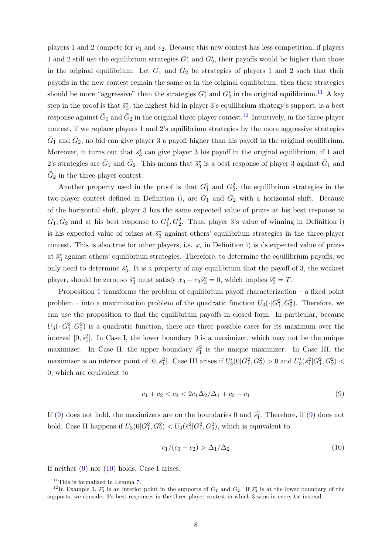players 1 and 2 compete for  $v_1$  and  $v_2$ . Because this new contest has less competition, if players 1 and 2 still use the equilibrium strategies  $G_1^*$  and  $G_2^*$ , their payoffs would be higher than those in the original equilibrium. Let  $\bar{G}_1$  and  $\bar{G}_2$  be strategies of players 1 and 2 such that their payoffs in the new contest remain the same as in the original equilibrium, then these strategies should be more "aggressive" than the strategies  $G_1^*$  and  $G_2^*$  in the original equilibrium.<sup>[11](#page-7-0)</sup> A key step in the proof is that  $\bar{s}_3^*$ , the highest bid in player 3's equilibrium strategy's support, is a best response against  $\bar{G}_1$  and  $\bar{G}_2$  in the original three-player contest.<sup>[12](#page-7-1)</sup> Intuitively, in the three-player contest, if we replace players 1 and 2's equilibrium strategies by the more aggressive strategies  $\bar{G}_1$  and  $\bar{G}_2$ , no bid can give player 3 a payoff higher than his payoff in the original equilibrium. Moreover, it turns out that  $\bar{s}_3^*$  can give player 3 his payoff in the original equilibrium, if 1 and 2's strategies are  $\bar{G}_1$  and  $\bar{G}_2$ . This means that  $\bar{s}_3^*$  is a best response of player 3 against  $\bar{G}_1$  and  $\bar{G}_2$  in the three-player contest.

Another property used in the proof is that  $G_1^2$  and  $G_2^2$ , the equilibrium strategies in the two-player contest defined in Definition i), are  $\bar{G}_1$  and  $\bar{G}_2$  with a horizontal shift. Because of the horizontal shift, player 3 has the same expected value of prizes at his best response to  $\bar{G}_1$ ,  $\bar{G}_2$  and at his best response to  $G_1^2$ ,  $G_2^2$ . Thus, player 3's value of winning in Definition i) is his expected value of prizes at  $\bar{s}_3^*$  against others' equilibrium strategies in the three-player contest. This is also true for other players, i.e.  $x_i$  in Definition i) is i's expected value of prizes at  $\bar{s}_3^*$  against others' equilibrium strategies. Therefore, to determine the equilibrium payoffs, we only need to determine  $\bar{s}_3^*$ . It is a property of any equilibrium that the payoff of 3, the weakest player, should be zero, so  $\bar{s}_3^*$  must satisfy  $x_3 - c_3 \bar{s}_3^* = 0$ , which implies  $\bar{s}_3^* = T$ .

Proposition [1](#page-6-0) transforms the problem of equilibrium payoff characterization – a fixed point problem – into a maximization problem of the quadratic function  $U_3(\cdot|G_1^2, G_2^2)$ . Therefore, we can use the proposition to find the equilibrium payoffs in closed form. In particular, because  $U_3(\cdot|G_1^2, G_2^2)$  is a quadratic function, there are three possible cases for its maximum over the interval  $[0, \bar{s}_1^2]$ . In Case I, the lower boundary 0 is a maximizer, which may not be the unique maximizer. In Case II, the upper boundary  $\bar{s}_1^2$  is the unique maximizer. In Case III, the maximizer is an interior point of  $[0, \bar{s}_1^2]$ . Case III arises if  $U_3'(0|G_1^2, G_2^2) > 0$  and  $U_3'(\bar{s}_1^2|G_1^2, G_2^2) <$ 0, which are equivalent to

<span id="page-7-2"></span>
$$
c_1 + c_2 < c_3 < 2c_1 \Delta_2 / \Delta_1 + c_2 - c_1 \tag{9}
$$

If [\(9\)](#page-7-2) does not hold, the maximizers are on the boundaries 0 and  $\bar{s}_1^2$ . Therefore, if (9) does not hold, Case II happens if  $U_3(0|G_1^2, G_2^2) < U_3(\bar{s}_1^2|G_1^2, G_2^2)$ , which is equivalent to

<span id="page-7-3"></span>
$$
c_1/(c_3 - c_2) > \Delta_1/\Delta_2 \tag{10}
$$

If neither [\(9\)](#page-7-2) nor [\(10\)](#page-7-3) holds, Case I arises.

<span id="page-7-1"></span><span id="page-7-0"></span> $11$ This is formalized in Lemma [7.](#page-20-0)

<sup>&</sup>lt;sup>12</sup>In Example 1,  $\bar{s}_3^*$  is an interior point in the supports of  $\bar{G}_1$  and  $\bar{G}_2$ . If  $\bar{s}_3^*$  is at the lower boundary of the supports, we consider 3's best responses in the three-player contest in which 3 wins in every tie instead.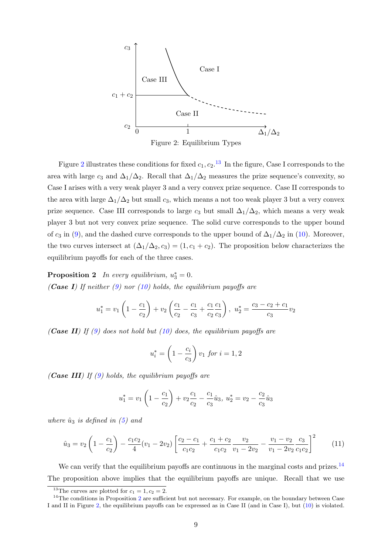<span id="page-8-1"></span>

Figure 2: Equilibrium Types

Figure [2](#page-8-1) illustrates these conditions for fixed  $c_1, c_2$ .<sup>[13](#page-8-2)</sup> In the figure, Case I corresponds to the area with large  $c_3$  and  $\Delta_1/\Delta_2$ . Recall that  $\Delta_1/\Delta_2$  measures the prize sequence's convexity, so Case I arises with a very weak player 3 and a very convex prize sequence. Case II corresponds to the area with large  $\Delta_1/\Delta_2$  but small  $c_3$ , which means a not too weak player 3 but a very convex prize sequence. Case III corresponds to large  $c_3$  but small  $\Delta_1/\Delta_2$ , which means a very weak player 3 but not very convex prize sequence. The solid curve corresponds to the upper bound of  $c_3$  in [\(9\)](#page-7-2), and the dashed curve corresponds to the upper bound of  $\Delta_1/\Delta_2$  in [\(10\)](#page-7-3). Moreover, the two curves intersect at  $(\Delta_1/\Delta_2, c_3) = (1, c_1 + c_2)$ . The proposition below characterizes the equilibrium payoffs for each of the three cases.

<span id="page-8-0"></span>**Proposition 2** In every equilibrium,  $u_3^* = 0$ . (Case I) If neither  $(9)$  nor  $(10)$  holds, the equilibrium payoffs are

$$
u_1^* = v_1 \left( 1 - \frac{c_1}{c_2} \right) + v_2 \left( \frac{c_1}{c_2} - \frac{c_1}{c_3} + \frac{c_1}{c_2} \frac{c_1}{c_3} \right), \ u_2^* = \frac{c_3 - c_2 + c_1}{c_3} v_2
$$

(Case II) If [\(9\)](#page-7-2) does not hold but [\(10\)](#page-7-3) does, the equilibrium payoffs are

$$
u_i^* = \left(1 - \frac{c_i}{c_3}\right)v_1 \text{ for } i = 1, 2
$$

(Case III) If  $(9)$  holds, the equilibrium payoffs are

$$
u_1^* = v_1 \left( 1 - \frac{c_1}{c_2} \right) + v_2 \frac{c_1}{c_2} - \frac{c_1}{c_3} \hat{u}_3, \ u_2^* = v_2 - \frac{c_2}{c_3} \hat{u}_3
$$

where  $\hat{u}_3$  is defined in [\(5\)](#page-5-5) and

<span id="page-8-4"></span>
$$
\hat{u}_3 = v_2 \left( 1 - \frac{c_1}{c_2} \right) - \frac{c_1 c_2}{4} (v_1 - 2v_2) \left[ \frac{c_2 - c_1}{c_1 c_2} + \frac{c_1 + c_2}{c_1 c_2} \frac{v_2}{v_1 - 2v_2} - \frac{v_1 - v_2}{v_1 - 2v_2} \frac{c_3}{c_1 c_2} \right]^2 \tag{11}
$$

We can verify that the equilibrium payoffs are continuous in the marginal costs and prizes.<sup>[14](#page-8-3)</sup> The proposition above implies that the equilibrium payoffs are unique. Recall that we use

<span id="page-8-3"></span><span id="page-8-2"></span><sup>&</sup>lt;sup>13</sup>The curves are plotted for  $c_1 = 1, c_2 = 2$ .

 $14$ The conditions in Proposition [2](#page-8-0) are sufficient but not necessary. For example, on the boundary between Case I and II in Figure [2,](#page-8-1) the equilibrium payoffs can be expressed as in Case II (and in Case I), but [\(10\)](#page-7-3) is violated.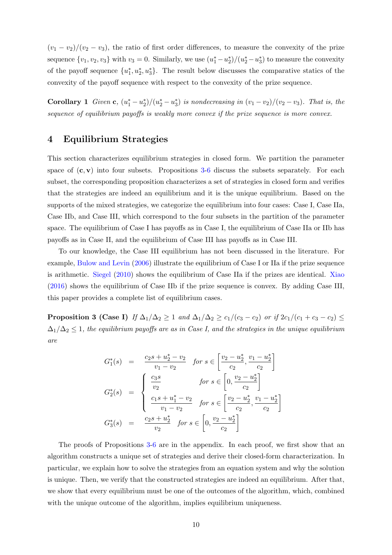<span id="page-9-3"></span> $(v_1 - v_2)/(v_2 - v_3)$ , the ratio of first order differences, to measure the convexity of the prize sequence  $\{v_1, v_2, v_3\}$  with  $v_3 = 0$ . Similarly, we use  $(u_1^* - u_2^*)/(u_2^* - u_3^*)$  to measure the convexity of the payoff sequence  $\{u_1^*, u_2^*, u_3^*\}$ . The result below discusses the comparative statics of the convexity of the payoff sequence with respect to the convexity of the prize sequence.

<span id="page-9-1"></span>Corollary 1 Given c,  $(u_1^* - u_2^*)/(u_2^* - u_3^*)$  is nondecreasing in  $(v_1 - v_2)/(v_2 - v_3)$ . That is, the sequence of equilibrium payoffs is weakly more convex if the prize sequence is more convex.

## <span id="page-9-0"></span>4 Equilibrium Strategies

This section characterizes equilibrium strategies in closed form. We partition the parameter space of  $(c, v)$  into four subsets. Propositions [3-](#page-9-2)[6](#page-12-0) discuss the subsets separately. For each subset, the corresponding proposition characterizes a set of strategies in closed form and verifies that the strategies are indeed an equilibrium and it is the unique equilibrium. Based on the supports of the mixed strategies, we categorize the equilibrium into four cases: Case I, Case IIa, Case IIb, and Case III, which correspond to the four subsets in the partition of the parameter space. The equilibrium of Case I has payoffs as in Case I, the equilibrium of Case IIa or IIb has payoffs as in Case II, and the equilibrium of Case III has payoffs as in Case III.

To our knowledge, the Case III equilibrium has not been discussed in the literature. For example, [Bulow and Levin](#page-16-2) [\(2006\)](#page-16-2) illustrate the equilibrium of Case I or IIa if the prize sequence is arithmetic. [Siegel](#page-17-0) [\(2010\)](#page-17-0) shows the equilibrium of Case IIa if the prizes are identical. [Xiao](#page-18-0) [\(2016\)](#page-18-0) shows the equilibrium of Case IIb if the prize sequence is convex. By adding Case III, this paper provides a complete list of equilibrium cases.

<span id="page-9-2"></span>**Proposition 3 (Case I)** If  $\Delta_1/\Delta_2 \geq 1$  and  $\Delta_1/\Delta_2 \geq c_1/(c_3 - c_2)$  or if  $2c_1/(c_1 + c_3 - c_2) \leq$  $\Delta_1/\Delta_2 \leq 1$ , the equilibrium payoffs are as in Case I, and the strategies in the unique equilibrium are

$$
G_1^*(s) = \frac{c_2s + u_2^* - v_2}{v_1 - v_2} \quad \text{for } s \in \left[\frac{v_2 - u_2^*}{c_2}, \frac{v_1 - u_2^*}{c_2}\right]
$$
\n
$$
G_2^*(s) = \begin{cases} \frac{c_3s}{v_2} & \text{for } s \in \left[0, \frac{v_2 - u_2^*}{c_2}\right] \\ \frac{c_1s + u_1^* - v_2}{v_1 - v_2} & \text{for } s \in \left[\frac{v_2 - u_2^*}{c_2}, \frac{v_1 - u_2^*}{c_2}\right] \\ \frac{c_2s + u_2^*}{v_2} & \text{for } s \in \left[0, \frac{v_2 - u_2^*}{c_2}\right] \end{cases}
$$

The proofs of Propositions [3-](#page-9-2)[6](#page-12-0) are in the appendix. In each proof, we first show that an algorithm constructs a unique set of strategies and derive their closed-form characterization. In particular, we explain how to solve the strategies from an equation system and why the solution is unique. Then, we verify that the constructed strategies are indeed an equilibrium. After that, we show that every equilibrium must be one of the outcomes of the algorithm, which, combined with the unique outcome of the algorithm, implies equilibrium uniqueness.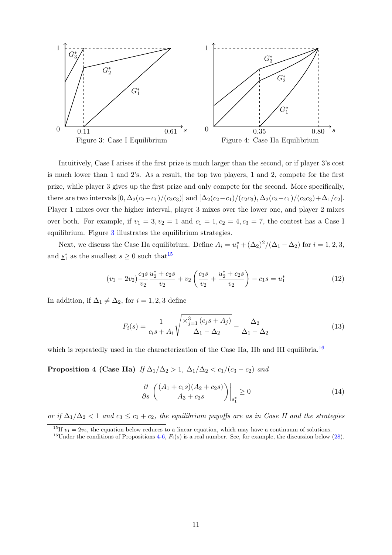<span id="page-10-0"></span>

Intuitively, Case I arises if the first prize is much larger than the second, or if player 3's cost is much lower than 1 and 2's. As a result, the top two players, 1 and 2, compete for the first prize, while player 3 gives up the first prize and only compete for the second. More specifically, there are two intervals  $[0, \Delta_2(c_2-c_1)/(c_2c_3)]$  and  $[\Delta_2(c_2-c_1)/(c_2c_3), \Delta_2(c_2-c_1)/(c_2c_3)+\Delta_1/c_2]$ . Player 1 mixes over the higher interval, player 3 mixes over the lower one, and player 2 mixes over both. For example, if  $v_1 = 3$ ,  $v_2 = 1$  and  $c_1 = 1$ ,  $c_2 = 4$ ,  $c_3 = 7$ , the contest has a Case I equilibrium. Figure [3](#page-10-0) illustrates the equilibrium strategies.

Next, we discuss the Case IIa equilibrium. Define  $A_i = u_i^* + (\Delta_2)^2/(\Delta_1 - \Delta_2)$  for  $i = 1, 2, 3$ , and  $\underline{s}_1^*$  as the smallest  $s \geq 0$  such that <sup>[15](#page-10-1)</sup>

<span id="page-10-5"></span>
$$
(v_1 - 2v_2)\frac{c_3s}{v_2}\frac{u_2^* + c_2s}{v_2} + v_2\left(\frac{c_3s}{v_2} + \frac{u_2^* + c_2s}{v_2}\right) - c_1s = u_1^*
$$
(12)

In addition, if  $\Delta_1 \neq \Delta_2$ , for  $i = 1, 2, 3$  define

$$
F_i(s) = \frac{1}{c_i s + A_i} \sqrt{\frac{\times_{j=1}^3 (c_j s + A_j)}{\Delta_1 - \Delta_2}} - \frac{\Delta_2}{\Delta_1 - \Delta_2}
$$
(13)

<span id="page-10-3"></span>which is repeatedly used in the characterization of the Case IIa, IIb and III equilibria.<sup>[16](#page-10-2)</sup>

Proposition 4 (Case IIa) If  $\Delta_1/\Delta_2 > 1$ ,  $\Delta_1/\Delta_2 < c_1/(c_3 - c_2)$  and

<span id="page-10-4"></span>
$$
\frac{\partial}{\partial s} \left( \frac{(A_1 + c_1 s)(A_2 + c_2 s)}{A_3 + c_3 s} \right)\Big|_{s_1^*} \ge 0 \tag{14}
$$

or if  $\Delta_1/\Delta_2$  < 1 and  $c_3 \leq c_1 + c_2$ , the equilibrium payoffs are as in Case II and the strategies

<span id="page-10-1"></span><sup>&</sup>lt;sup>15</sup>If  $v_1 = 2v_2$ , the equation below reduces to a linear equation, which may have a continuum of solutions.

<span id="page-10-2"></span><sup>&</sup>lt;sup>16</sup>Under the conditions of Propositions [4-](#page-10-3)[6,](#page-12-0)  $F_i(s)$  is a real number. See, for example, the discussion below [\(28\)](#page-26-0).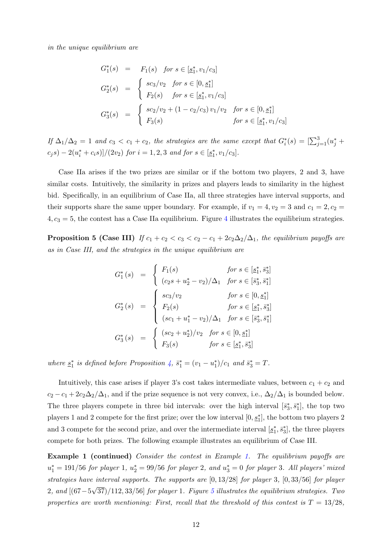in the unique equilibrium are

$$
G_1^*(s) = F_1(s) \text{ for } s \in [\underline{s}_1^*, v_1/c_3]
$$
  
\n
$$
G_2^*(s) = \begin{cases} sc_3/v_2 \text{ for } s \in [0, \underline{s}_1^*] \\ F_2(s) \text{ for } s \in [\underline{s}_1^*, v_1/c_3] \end{cases}
$$
  
\n
$$
G_3^*(s) = \begin{cases} sc_2/v_2 + (1 - c_2/c_3) v_1/v_2 \text{ for } s \in [0, \underline{s}_1^*] \\ F_3(s) \text{ for } s \in [\underline{s}_1^*, v_1/c_3] \end{cases}
$$

If  $\Delta_1/\Delta_2 = 1$  and  $c_3 < c_1 + c_2$ , the strategies are the same except that  $G_i^*(s) = \left[\sum_{j=1}^3 (u_j^* +$  $(c_j s) - 2(u_i^* + c_i s)$  /(2v<sub>2</sub>) for  $i = 1, 2, 3$  and for  $s \in [\underline{s}_1^*, v_1/c_3]$ .

Case IIa arises if the two prizes are similar or if the bottom two players, 2 and 3, have similar costs. Intuitively, the similarity in prizes and players leads to similarity in the highest bid. Specifically, in an equilibrium of Case IIa, all three strategies have interval supports, and their supports share the same upper boundary. For example, if  $v_1 = 4, v_2 = 3$  and  $c_1 = 2, c_2 =$  $4, c_3 = 5$  $4, c_3 = 5$ , the contest has a Case IIa equilibrium. Figure 4 illustrates the equilibrium strategies.

<span id="page-11-0"></span>**Proposition 5 (Case III)** If  $c_1 + c_2 < c_3 < c_2 - c_1 + 2c_2\Delta_2/\Delta_1$ , the equilibrium payoffs are as in Case III, and the strategies in the unique equilibrium are

$$
G_1^*(s) = \begin{cases} F_1(s) & \text{for } s \in [\underline{s}_1^*, \overline{s}_3^*] \\ (c_2s + u_2^* - v_2)/\Delta_1 & \text{for } s \in [\overline{s}_3^*, \overline{s}_1^*] \\ G_2^*(s) = \begin{cases} sc_3/v_2 & \text{for } s \in [0, \underline{s}_1^*] \\ F_2(s) & \text{for } s \in [\underline{s}_1^*, \overline{s}_3^*] \\ (sc_1 + u_1^* - v_2)/\Delta_1 & \text{for } s \in [\overline{s}_3^*, \overline{s}_1^*] \\ F_3(s) & \text{for } s \in [\underline{s}_1^*, \overline{s}_3^*] \end{cases} \end{cases}
$$

where  $\underline{s}_1^*$  is defined before Proposition [4,](#page-10-3)  $\overline{s}_1^* = (v_1 - u_1^*)/c_1$  and  $\overline{s}_3^* = T$ .

Intuitively, this case arises if player 3's cost takes intermediate values, between  $c_1 + c_2$  and  $c_2 - c_1 + 2c_2\Delta_2/\Delta_1$ , and if the prize sequence is not very convex, i.e.,  $\Delta_2/\Delta_1$  is bounded below. The three players compete in three bid intervals: over the high interval  $[\bar{s}_3^*, \bar{s}_1^*]$ , the top two players 1 and 2 compete for the first prize; over the low interval  $[0, \underline{s}_1^*]$ , the bottom two players 2 and 3 compete for the second prize, and over the intermediate interval  $[s_1^*, \bar{s}_3^*]$ , the three players compete for both prizes. The following example illustrates an equilibrium of Case III.

Example 1 (continued) Consider the contest in Example [1.](#page-6-2) The equilibrium payoffs are  $u_1^* = 191/56$  for player 1,  $u_2^* = 99/56$  for player 2, and  $u_3^* = 0$  for player 3. All players' mixed strategies have interval supports. The supports are [0, 13/28] for player 3, [0, 33/56] for player 2, and [(67−5 √  $37)/112, 33/56$  $37)/112, 33/56$  $37)/112, 33/56$  for player 1. Figure 5 illustrates the equilibrium strategies. Two properties are worth mentioning: First, recall that the threshold of this contest is  $T = 13/28$ ,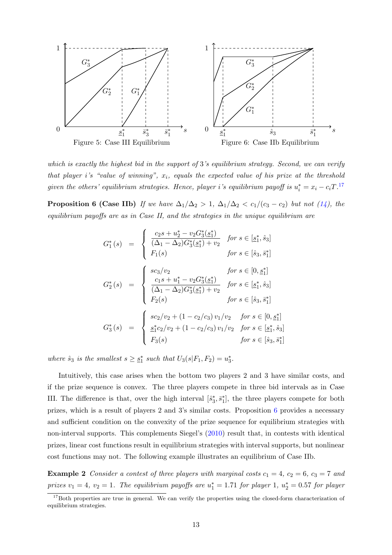<span id="page-12-3"></span><span id="page-12-1"></span>

which is exactly the highest bid in the support of 3's equilibrium strategy. Second, we can verify that player i's "value of winning",  $x_i$ , equals the expected value of his prize at the threshold given the others' equilibrium strategies. Hence, player i's equilibrium payoff is  $u_i^* = x_i - c_i T$ .<sup>[17](#page-12-2)</sup>

<span id="page-12-0"></span>**Proposition 6 (Case IIb)** If we have  $\Delta_1/\Delta_2 > 1$ ,  $\Delta_1/\Delta_2 < c_1/(c_3 - c_2)$  but not [\(14\)](#page-10-4), the equilibrium payoffs are as in Case II, and the strategies in the unique equilibrium are

$$
G_1^*(s) = \begin{cases} \frac{c_2s + u_2^* - v_2 G_3^*(\underline{s}_1^*)}{(\Delta_1 - \Delta_2) G_3^*(\underline{s}_1^*) + v_2} & \text{for } s \in [\underline{s}_1^*, \hat{s}_3] \\ F_1(s) & \text{for } s \in [\hat{s}_3, \bar{s}_1^*] \end{cases}
$$

$$
G_2^*(s) = \begin{cases} \frac{s c_3/v_2}{(2s + u_1^* - v_2 G_3^*(\underline{s}_1^*)} & \text{for } s \in [0, \underline{s}_1^*] \\ \frac{c_1s + u_1^* - v_2 G_3^*(\underline{s}_1^*)}{(\Delta_1 - \Delta_2) G_3^*(\underline{s}_1^*) + v_2} & \text{for } s \in [\underline{s}_1^*, \hat{s}_3] \\ F_2(s) & \text{for } s \in [\hat{s}_3, \bar{s}_1^*] \end{cases}
$$

$$
G_3^*(s) = \begin{cases} \frac{s c_2/v_2 + (1 - c_2/c_3) v_1/v_2}{\Delta_1^* c_2/v_2 + (1 - c_2/c_3) v_1/v_2} & \text{for } s \in [\underline{s}_1^*, \hat{s}_3] \\ \frac{s_1^* c_2/v_2 + (1 - c_2/c_3) v_1/v_2}{\Delta_1^* c_2(v_2^*) + (1 - c_2/c_3) v_1/v_2} & \text{for } s \in [\hat{s}_3, \bar{s}_1^*] \end{cases}
$$

where  $\hat{s}_3$  is the smallest  $s \geq \underline{s}_1^*$  such that  $U_3(s|F_1, F_2) = u_3^*$ .

Intuitively, this case arises when the bottom two players 2 and 3 have similar costs, and if the prize sequence is convex. The three players compete in three bid intervals as in Case III. The difference is that, over the high interval  $[\hat{s}_3^*, \bar{s}_1^*]$ , the three players compete for both prizes, which is a result of players 2 and 3's similar costs. Proposition [6](#page-12-0) provides a necessary and sufficient condition on the convexity of the prize sequence for equilibrium strategies with non-interval supports. This complements Siegel's [\(2010\)](#page-17-0) result that, in contests with identical prizes, linear cost functions result in equilibrium strategies with interval supports, but nonlinear cost functions may not. The following example illustrates an equilibrium of Case IIb.

**Example 2** Consider a contest of three players with marginal costs  $c_1 = 4$ ,  $c_2 = 6$ ,  $c_3 = 7$  and prizes  $v_1 = 4$ ,  $v_2 = 1$ . The equilibrium payoffs are  $u_1^* = 1.71$  for player 1,  $u_2^* = 0.57$  for player

<span id="page-12-2"></span><sup>&</sup>lt;sup>17</sup>Both properties are true in general. We can verify the properties using the closed-form characterization of equilibrium strategies.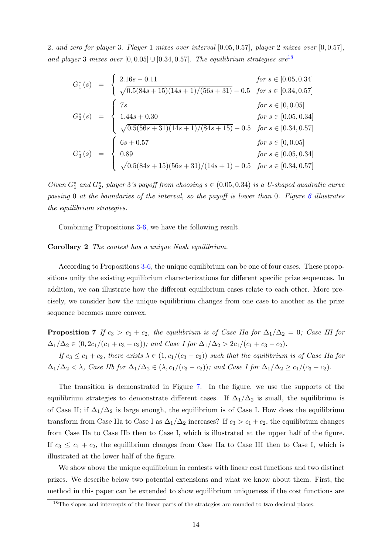2, and zero for player 3. Player 1 mixes over interval [0.05, 0.57], player 2 mixes over [0, 0.57], and player 3 mixes over  $[0, 0.05] \cup [0.34, 0.57]$ . The equilibrium strategies are<sup>[18](#page-13-0)</sup>

$$
G_1^*(s) = \begin{cases} 2.16s - 0.11 & \text{for } s \in [0.05, 0.34] \\ \sqrt{0.5(84s + 15)(14s + 1)/(56s + 31)} - 0.5 & \text{for } s \in [0.34, 0.57] \\ 7s & \text{for } s \in [0, 0.05] \\ 1.44s + 0.30 & \text{for } s \in [0.05, 0.34] \\ \sqrt{0.5(56s + 31)(14s + 1)/(84s + 15)} - 0.5 & \text{for } s \in [0.34, 0.57] \\ 6s + 0.57 & \text{for } s \in [0, 0.05] \\ 0.89 & \text{for } s \in [0.05, 0.34] \\ \sqrt{0.5(84s + 15)(56s + 31)/(14s + 1)} - 0.5 & \text{for } s \in [0.34, 0.57] \end{cases}
$$

Given  $G_1^*$  and  $G_2^*$ , player 3's payoff from choosing  $s \in (0.05, 0.34)$  is a U-shaped quadratic curve passing 0 at the boundaries of the interval, so the payoff is lower than 0. Figure [6](#page-12-1) illustrates the equilibrium strategies.

Combining Propositions [3-](#page-9-2)[6,](#page-12-0) we have the following result.

#### Corollary 2 The contest has a unique Nash equilibrium.

According to Propositions [3-](#page-9-2)[6,](#page-12-0) the unique equilibrium can be one of four cases. These propositions unify the existing equilibrium characterizations for different specific prize sequences. In addition, we can illustrate how the different equilibrium cases relate to each other. More precisely, we consider how the unique equilibrium changes from one case to another as the prize sequence becomes more convex.

<span id="page-13-1"></span>**Proposition 7** If  $c_3 > c_1 + c_2$ , the equilibrium is of Case IIa for  $\Delta_1/\Delta_2 = 0$ ; Case III for  $\Delta_1/\Delta_2 \in (0, 2c_1/(c_1+c_3-c_2))$ ; and Case I for  $\Delta_1/\Delta_2 > 2c_1/(c_1+c_3-c_2)$ .

If  $c_3 \leq c_1 + c_2$ , there exists  $\lambda \in (1, c_1/(c_3 - c_2))$  such that the equilibrium is of Case IIa for  $\Delta_1/\Delta_2 < \lambda$ , Case IIb for  $\Delta_1/\Delta_2 \in (\lambda, c_1/(c_3 - c_2))$ ; and Case I for  $\Delta_1/\Delta_2 \ge c_1/(c_3 - c_2)$ .

The transition is demonstrated in Figure [7.](#page-14-1) In the figure, we use the supports of the equilibrium strategies to demonstrate different cases. If  $\Delta_1/\Delta_2$  is small, the equilibrium is of Case II; if  $\Delta_1/\Delta_2$  is large enough, the equilibrium is of Case I. How does the equilibrium transform from Case IIa to Case I as  $\Delta_1/\Delta_2$  increases? If  $c_3 > c_1 + c_2$ , the equilibrium changes from Case IIa to Case IIb then to Case I, which is illustrated at the upper half of the figure. If  $c_3 \leq c_1 + c_2$ , the equilibrium changes from Case IIa to Case III then to Case I, which is illustrated at the lower half of the figure.

We show above the unique equilibrium in contests with linear cost functions and two distinct prizes. We describe below two potential extensions and what we know about them. First, the method in this paper can be extended to show equilibrium uniqueness if the cost functions are

<span id="page-13-0"></span><sup>&</sup>lt;sup>18</sup>The slopes and intercepts of the linear parts of the strategies are rounded to two decimal places.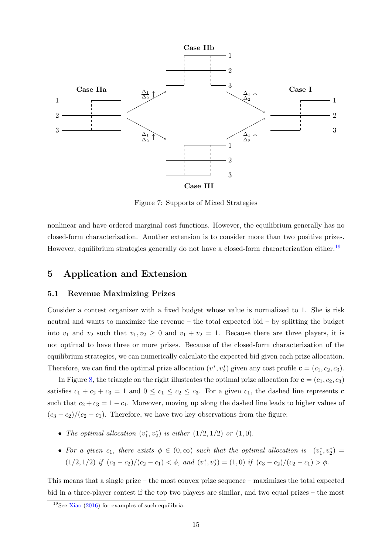<span id="page-14-3"></span><span id="page-14-1"></span>

Figure 7: Supports of Mixed Strategies

nonlinear and have ordered marginal cost functions. However, the equilibrium generally has no closed-form characterization. Another extension is to consider more than two positive prizes. However, equilibrium strategies generally do not have a closed-form characterization either.<sup>[19](#page-14-2)</sup>

# <span id="page-14-0"></span>5 Application and Extension

## 5.1 Revenue Maximizing Prizes

Consider a contest organizer with a fixed budget whose value is normalized to 1. She is risk neutral and wants to maximize the revenue – the total expected bid – by splitting the budget into  $v_1$  and  $v_2$  such that  $v_1, v_2 \geq 0$  and  $v_1 + v_2 = 1$ . Because there are three players, it is not optimal to have three or more prizes. Because of the closed-form characterization of the equilibrium strategies, we can numerically calculate the expected bid given each prize allocation. Therefore, we can find the optimal prize allocation  $(v_1^*, v_2^*)$  given any cost profile  $\mathbf{c} = (c_1, c_2, c_3)$ .

In Figure [8,](#page-15-0) the triangle on the right illustrates the optimal prize allocation for  $\mathbf{c} = (c_1, c_2, c_3)$ satisfies  $c_1 + c_2 + c_3 = 1$  and  $0 \le c_1 \le c_2 \le c_3$ . For a given  $c_1$ , the dashed line represents **c** such that  $c_2 + c_3 = 1 - c_1$ . Moreover, moving up along the dashed line leads to higher values of  $(c_3 - c_2)/(c_2 - c_1)$ . Therefore, we have two key observations from the figure:

- The optimal allocation  $(v_1^*, v_2^*)$  is either  $(1/2, 1/2)$  or  $(1, 0)$ .
- For a given  $c_1$ , there exists  $\phi \in (0, \infty)$  such that the optimal allocation is  $(v_1^*, v_2^*) =$  $(1/2, 1/2)$  if  $(c_3 - c_2)/(c_2 - c_1) < \phi$ , and  $(v_1^*, v_2^*) = (1, 0)$  if  $(c_3 - c_2)/(c_2 - c_1) > \phi$ .

This means that a single prize – the most convex prize sequence – maximizes the total expected bid in a three-player contest if the top two players are similar, and two equal prizes – the most

<span id="page-14-2"></span><sup>&</sup>lt;sup>19</sup>See [Xiao](#page-18-0) [\(2016\)](#page-18-0) for examples of such equilibria.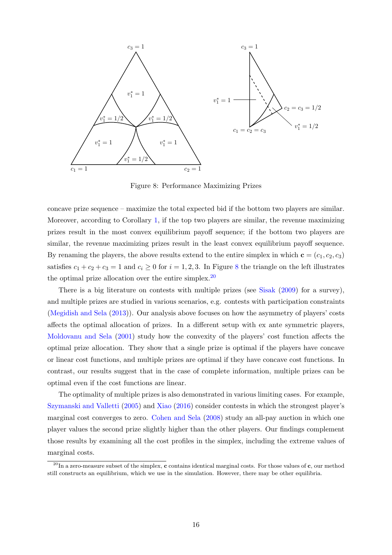<span id="page-15-2"></span><span id="page-15-0"></span>

Figure 8: Performance Maximizing Prizes

concave prize sequence – maximize the total expected bid if the bottom two players are similar. Moreover, according to Corollary [1,](#page-9-1) if the top two players are similar, the revenue maximizing prizes result in the most convex equilibrium payoff sequence; if the bottom two players are similar, the revenue maximizing prizes result in the least convex equilibrium payoff sequence. By renaming the players, the above results extend to the entire simplex in which  $\mathbf{c} = (c_1, c_2, c_3)$ satisfies  $c_1 + c_2 + c_3 = 1$  and  $c_i \ge 0$  for  $i = 1, 2, 3$ . In Figure [8](#page-15-0) the triangle on the left illustrates the optimal prize allocation over the entire simplex.<sup>[20](#page-15-1)</sup>

There is a big literature on contests with multiple prizes (see [Sisak](#page-18-2) [\(2009\)](#page-18-2) for a survey), and multiple prizes are studied in various scenarios, e.g. contests with participation constraints [\(Megidish and Sela](#page-17-15) [\(2013\)](#page-17-15)). Our analysis above focuses on how the asymmetry of players' costs affects the optimal allocation of prizes. In a different setup with ex ante symmetric players, [Moldovanu and Sela](#page-17-8) [\(2001\)](#page-17-8) study how the convexity of the players' cost function affects the optimal prize allocation. They show that a single prize is optimal if the players have concave or linear cost functions, and multiple prizes are optimal if they have concave cost functions. In contrast, our results suggest that in the case of complete information, multiple prizes can be optimal even if the cost functions are linear.

The optimality of multiple prizes is also demonstrated in various limiting cases. For example, [Szymanski and Valletti](#page-18-3) [\(2005\)](#page-18-3) and [Xiao](#page-18-0) [\(2016\)](#page-18-0) consider contests in which the strongest player's marginal cost converges to zero. [Cohen and Sela](#page-17-16) [\(2008\)](#page-17-16) study an all-pay auction in which one player values the second prize slightly higher than the other players. Our findings complement those results by examining all the cost profiles in the simplex, including the extreme values of marginal costs.

<span id="page-15-1"></span> $^{20}$ In a zero-measure subset of the simplex, c contains identical marginal costs. For those values of c, our method still constructs an equilibrium, which we use in the simulation. However, there may be other equilibria.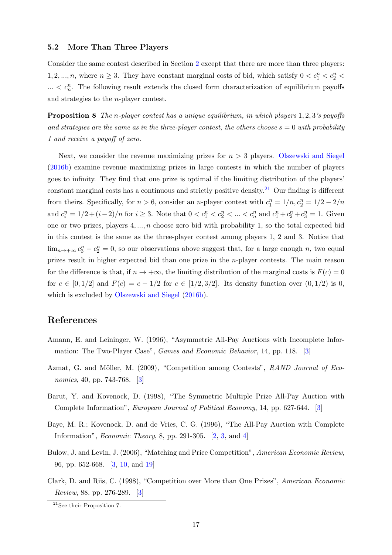## <span id="page-16-7"></span>5.2 More Than Three Players

Consider the same contest described in Section [2](#page-3-0) except that there are more than three players: 1, 2, ..., n, where  $n \geq 3$ . They have constant marginal costs of bid, which satisfy  $0 < c_1^n < c_2^n$  $\ldots < c_n^n$ . The following result extends the closed form characterization of equilibrium payoffs and strategies to the n-player contest.

<span id="page-16-8"></span>**Proposition 8** The n-player contest has a unique equilibrium, in which players 1, 2, 3's payoffs and strategies are the same as in the three-player contest, the others choose  $s = 0$  with probability 1 and receive a payoff of zero.

Next, we consider the revenue maximizing prizes for  $n > 3$  players. [Olszewski and Siegel](#page-17-17) [\(2016b\)](#page-17-17) examine revenue maximizing prizes in large contests in which the number of players goes to infinity. They find that one prize is optimal if the limiting distribution of the players' constant marginal costs has a continuous and strictly positive density.<sup>[21](#page-16-6)</sup> Our finding is different from theirs. Specifically, for  $n > 6$ , consider an *n*-player contest with  $c_1^n = 1/n$ ,  $c_2^n = 1/2 - 2/n$ and  $c_i^n = 1/2 + (i-2)/n$  for  $i \ge 3$ . Note that  $0 < c_1^n < c_2^n < ... < c_n^n$  and  $c_1^n + c_2^n + c_3^n = 1$ . Given one or two prizes, players  $4, \ldots, n$  choose zero bid with probability 1, so the total expected bid in this contest is the same as the three-player contest among players 1, 2 and 3. Notice that  $\lim_{n\to+\infty} c_3^n - c_2^n = 0$ , so our observations above suggest that, for a large enough n, two equal prizes result in higher expected bid than one prize in the n-player contests. The main reason for the difference is that, if  $n \to +\infty$ , the limiting distribution of the marginal costs is  $F(c) = 0$ for  $c \in [0, 1/2]$  and  $F(c) = c - 1/2$  for  $c \in [1/2, 3/2]$ . Its density function over  $(0, 1/2)$  is 0, which is excluded by [Olszewski and Siegel](#page-17-17) [\(2016b\)](#page-17-17).

## References

- <span id="page-16-5"></span>Amann, E. and Leininger, W. (1996), "Asymmetric All-Pay Auctions with Incomplete Information: The Two-Player Case", Games and Economic Behavior, 14, pp. 118. [\[3\]](#page-2-2)
- <span id="page-16-4"></span>Azmat, G. and Möller, M. (2009), "Competition among Contests", RAND Journal of Economics, 40, pp. 743-768. [\[3\]](#page-2-2)
- <span id="page-16-3"></span>Barut, Y. and Kovenock, D. (1998), "The Symmetric Multiple Prize All-Pay Auction with Complete Information", European Journal of Political Economy, 14, pp. 627-644. [\[3\]](#page-2-2)
- <span id="page-16-0"></span>Baye, M. R.; Kovenock, D. and de Vries, C. G. (1996), "The All-Pay Auction with Complete Information", Economic Theory, 8, pp. 291-305. [\[2,](#page-1-0) [3,](#page-2-2) and [4\]](#page-3-4)
- <span id="page-16-2"></span>Bulow, J. and Levin, J. (2006), "Matching and Price Competition", American Economic Review, 96, pp. 652-668. [\[3,](#page-2-2) [10,](#page-9-3) and [19\]](#page-18-4)
- <span id="page-16-1"></span>Clark, D. and Riis, C. (1998), "Competition over More than One Prizes", American Economic Review, 88. pp. 276-289. [\[3\]](#page-2-2)

<span id="page-16-6"></span><sup>21</sup>See their Proposition 7.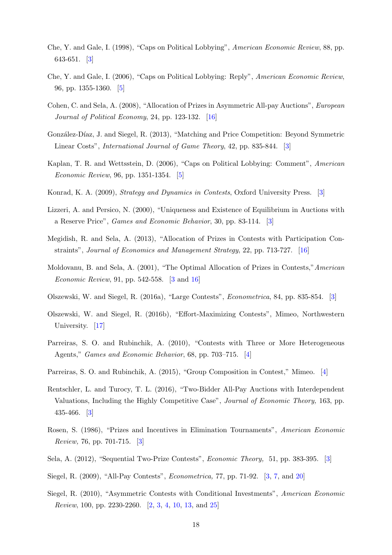- <span id="page-17-2"></span>Che, Y. and Gale, I. (1998), "Caps on Political Lobbying", American Economic Review, 88, pp. 643-651. [\[3\]](#page-2-2)
- <span id="page-17-13"></span>Che, Y. and Gale, I. (2006), "Caps on Political Lobbying: Reply", American Economic Review, 96, pp. 1355-1360. [\[5\]](#page-4-4)
- <span id="page-17-16"></span>Cohen, C. and Sela, A. (2008), "Allocation of Prizes in Asymmetric All-pay Auctions", European Journal of Political Economy, 24, pp. 123-132. [\[16\]](#page-15-2)
- <span id="page-17-4"></span>González-Díaz, J. and Siegel, R. (2013), "Matching and Price Competition: Beyond Symmetric Linear Costs", International Journal of Game Theory, 42, pp. 835-844. [\[3\]](#page-2-2)
- <span id="page-17-14"></span>Kaplan, T. R. and Wettsstein, D. (2006), "Caps on Political Lobbying: Comment", American Economic Review, 96, pp. 1351-1354. [\[5\]](#page-4-4)
- <span id="page-17-1"></span>Konrad, K. A. (2009), Strategy and Dynamics in Contests, Oxford University Press. [\[3\]](#page-2-2)
- <span id="page-17-9"></span>Lizzeri, A. and Persico, N. (2000), "Uniqueness and Existence of Equilibrium in Auctions with a Reserve Price", Games and Economic Behavior, 30, pp. 83-114. [\[3\]](#page-2-2)
- <span id="page-17-15"></span>Megidish, R. and Sela, A. (2013), "Allocation of Prizes in Contests with Participation Constraints", Journal of Economics and Management Strategy, 22, pp. 713-727. [\[16\]](#page-15-2)
- <span id="page-17-8"></span>Moldovanu, B. and Sela, A. (2001), "The Optimal Allocation of Prizes in Contests,"American Economic Review, 91, pp. 542-558. [\[3](#page-2-2) and [16\]](#page-15-2)
- <span id="page-17-6"></span>Olszewski, W. and Siegel, R. (2016a), "Large Contests", Econometrica, 84, pp. 835-854. [\[3\]](#page-2-2)
- <span id="page-17-17"></span>Olszewski, W. and Siegel, R. (2016b), "Effort-Maximizing Contests", Mimeo, Northwestern University. [\[17\]](#page-16-7)
- <span id="page-17-11"></span>Parreiras, S. O. and Rubinchik, A. (2010), "Contests with Three or More Heterogeneous Agents," Games and Economic Behavior, 68, pp. 703–715. [\[4\]](#page-3-4)
- <span id="page-17-12"></span>Parreiras, S. O. and Rubinchik, A. (2015), "Group Composition in Contest," Mimeo. [\[4\]](#page-3-4)
- <span id="page-17-10"></span>Rentschler, L. and Turocy, T. L. (2016), "Two-Bidder All-Pay Auctions with Interdependent Valuations, Including the Highly Competitive Case", Journal of Economic Theory, 163, pp. 435-466. [\[3\]](#page-2-2)
- <span id="page-17-7"></span>Rosen, S. (1986), "Prizes and Incentives in Elimination Tournaments", American Economic Review, 76, pp. 701-715. [\[3\]](#page-2-2)
- <span id="page-17-5"></span>Sela, A. (2012), "Sequential Two-Prize Contests", Economic Theory, 51, pp. 383-395. [\[3\]](#page-2-2)
- <span id="page-17-3"></span>Siegel, R. (2009), "All-Pay Contests", Econometrica, 77, pp. 71-92. [\[3,](#page-2-2) [7,](#page-6-4) and [20\]](#page-19-0)
- <span id="page-17-0"></span>Siegel, R. (2010), "Asymmetric Contests with Conditional Investments", American Economic Review, 100, pp. 2230-2260. [\[2,](#page-1-0) [3,](#page-2-2) [4,](#page-3-4) [10,](#page-9-3) [13,](#page-12-3) and [25\]](#page-24-0)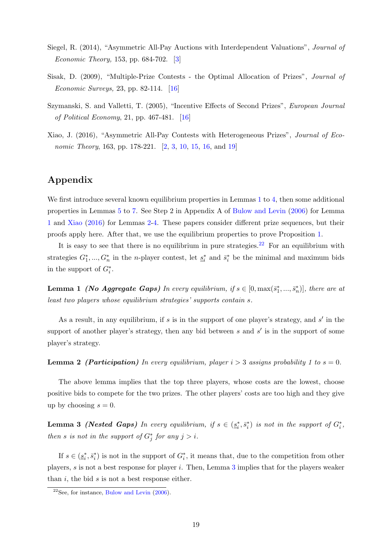- <span id="page-18-4"></span><span id="page-18-1"></span>Siegel, R. (2014), "Asymmetric All-Pay Auctions with Interdependent Valuations", Journal of Economic Theory, 153, pp. 684-702. [\[3\]](#page-2-2)
- <span id="page-18-2"></span>Sisak, D. (2009), "Multiple-Prize Contests - the Optimal Allocation of Prizes", Journal of Economic Surveys, 23, pp. 82-114. [\[16\]](#page-15-2)
- <span id="page-18-3"></span>Szymanski, S. and Valletti, T. (2005), "Incentive Effects of Second Prizes", European Journal of Political Economy, 21, pp. 467-481. [\[16\]](#page-15-2)
- <span id="page-18-0"></span>Xiao, J. (2016), "Asymmetric All-Pay Contests with Heterogeneous Prizes", Journal of Eco-nomic Theory, 163, pp. 178-221. [\[2,](#page-1-0) [3,](#page-2-2) [10,](#page-9-3) [15,](#page-14-3) [16,](#page-15-2) and [19\]](#page-18-4)

# Appendix

We first introduce several known equilibrium properties in Lemmas [1](#page-18-5) to [4,](#page-18-6) then some additional properties in Lemmas [5](#page-19-1) to [7.](#page-20-0) See Step 2 in Appendix A of [Bulow and Levin](#page-16-2) [\(2006\)](#page-16-2) for Lemma [1](#page-18-5) and [Xiao](#page-18-0) [\(2016\)](#page-18-0) for Lemmas [2](#page-18-7)[-4.](#page-18-6) These papers consider different prize sequences, but their proofs apply here. After that, we use the equilibrium properties to prove Proposition [1.](#page-6-0)

It is easy to see that there is no equilibrium in pure strategies.<sup>[22](#page-18-8)</sup> For an equilibrium with strategies  $G_1^*,...,G_n^*$  in the *n*-player contest, let  $\underline{s}_i^*$  and  $\overline{s}_i^*$  be the minimal and maximum bids in the support of  $G_i^*$ .

<span id="page-18-5"></span>**Lemma 1** (No Aggregate Gaps) In every equilibrium, if  $s \in [0, \max(\bar{s}_1^*, ..., \bar{s}_n^*)]$ , there are at least two players whose equilibrium strategies' supports contain s.

As a result, in any equilibrium, if  $s$  is in the support of one player's strategy, and  $s'$  in the support of another player's strategy, then any bid between  $s$  and  $s'$  is in the support of some player's strategy.

<span id="page-18-7"></span>**Lemma 2** (**Participation**) In every equilibrium, player  $i > 3$  assigns probability 1 to  $s = 0$ .

The above lemma implies that the top three players, whose costs are the lowest, choose positive bids to compete for the two prizes. The other players' costs are too high and they give up by choosing  $s = 0$ .

<span id="page-18-9"></span>**Lemma 3** (Nested Gaps) In every equilibrium, if  $s \in (\underline{s}_i^*, \overline{s}_i^*)$  is not in the support of  $G_i^*$ , then s is not in the support of  $G_j^*$  for any  $j > i$ .

If  $s \in (\underline{s}_i^*, \overline{s}_i^*)$  is not in the support of  $G_i^*$ , it means that, due to the competition from other players, s is not a best response for player i. Then, Lemma  $3$  implies that for the players weaker than  $i$ , the bid  $s$  is not a best response either.

<span id="page-18-8"></span><span id="page-18-6"></span><sup>&</sup>lt;sup>22</sup>See, for instance, [Bulow and Levin](#page-16-2)  $(2006)$ .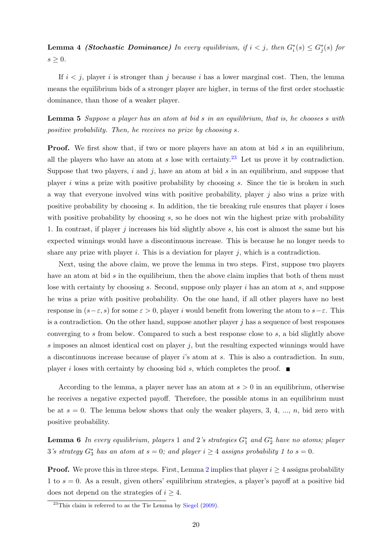<span id="page-19-0"></span>**Lemma 4 (Stochastic Dominance)** In every equilibrium, if  $i < j$ , then  $G_i^*(s) \leq G_j^*(s)$  for  $s \geq 0$ .

If  $i < j$ , player i is stronger than j because i has a lower marginal cost. Then, the lemma means the equilibrium bids of a stronger player are higher, in terms of the first order stochastic dominance, than those of a weaker player.

<span id="page-19-1"></span>Lemma 5 Suppose a player has an atom at bid s in an equilibrium, that is, he chooses s with positive probability. Then, he receives no prize by choosing s.

**Proof.** We first show that, if two or more players have an atom at bid s in an equilibrium, all the players who have an atom at s lose with certainty.<sup>[23](#page-19-2)</sup> Let us prove it by contradiction. Suppose that two players,  $i$  and  $j$ , have an atom at bid  $s$  in an equilibrium, and suppose that player  $i$  wins a prize with positive probability by choosing  $s$ . Since the tie is broken in such a way that everyone involved wins with positive probability, player  $j$  also wins a prize with positive probability by choosing s. In addition, the tie breaking rule ensures that player  $i$  loses with positive probability by choosing  $s$ , so he does not win the highest prize with probability 1. In contrast, if player j increases his bid slightly above s, his cost is almost the same but his expected winnings would have a discontinuous increase. This is because he no longer needs to share any prize with player i. This is a deviation for player j, which is a contradiction.

Next, using the above claim, we prove the lemma in two steps. First, suppose two players have an atom at bid s in the equilibrium, then the above claim implies that both of them must lose with certainty by choosing s. Second, suppose only player  $i$  has an atom at s, and suppose he wins a prize with positive probability. On the one hand, if all other players have no best response in  $(s-\varepsilon, s)$  for some  $\varepsilon > 0$ , player i would benefit from lowering the atom to  $s-\varepsilon$ . This is a contradiction. On the other hand, suppose another player  $j$  has a sequence of best responses converging to s from below. Compared to such a best response close to s, a bid slightly above s imposes an almost identical cost on player  $j$ , but the resulting expected winnings would have a discontinuous increase because of player i's atom at s. This is also a contradiction. In sum, player i loses with certainty by choosing bid s, which completes the proof.  $\blacksquare$ 

According to the lemma, a player never has an atom at  $s > 0$  in an equilibrium, otherwise he receives a negative expected payoff. Therefore, the possible atoms in an equilibrium must be at  $s = 0$ . The lemma below shows that only the weaker players, 3, 4, ..., n, bid zero with positive probability.

<span id="page-19-3"></span>**Lemma 6** In every equilibrium, players 1 and 2's strategies  $G_1^*$  and  $G_2^*$  have no atoms; player  $3's$  strategy  $G_3^*$  has an atom at  $s = 0$ ; and player  $i \geq 4$  assigns probability 1 to  $s = 0$ .

**Proof.** We prove this in three steps. First, Lemma [2](#page-18-7) implies that player  $i \geq 4$  assigns probability 1 to  $s = 0$ . As a result, given others' equilibrium strategies, a player's payoff at a positive bid does not depend on the strategies of  $i \geq 4$ .

<span id="page-19-2"></span> $^{23}$ This claim is referred to as the Tie Lemma by [Siegel](#page-17-3) [\(2009\)](#page-17-3).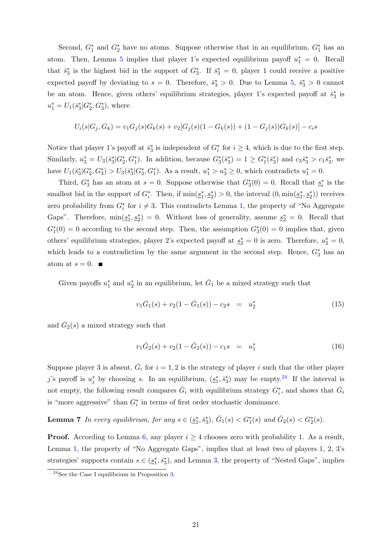Second,  $G_1^*$  and  $G_2^*$  have no atoms. Suppose otherwise that in an equilibrium,  $G_1^*$  has an atom. Then, Lemma [5](#page-19-1) implies that player 1's expected equilibrium payoff  $u_1^* = 0$ . Recall that  $\bar{s}_3^*$  is the highest bid in the support of  $G_3^*$ . If  $\bar{s}_3^* = 0$ , player 1 could receive a positive expected payoff by deviating to  $s = 0$ . Therefore,  $\bar{s}_3^* > 0$ . Due to Lemma [5,](#page-19-1)  $\bar{s}_3^* > 0$  cannot be an atom. Hence, given others' equilibrium strategies, player 1's expected payoff at  $\bar{s}_3^*$  is  $u_1^* = U_1(\bar{s}_3^* | G_2^*, G_3^*)$ , where

$$
U_i(s|G_j, G_k) = v_1 G_j(s) G_k(s) + v_2 [G_j(s)(1 - G_k(s)) + (1 - G_j(s))G_k(s)] - c_i s
$$

Notice that player 1's payoff at  $\bar{s}_3^*$  is independent of  $G_i^*$  for  $i \geq 4$ , which is due to the first step. Similarly,  $u_3^* = U_3(\bar{s}_3^* | G_2^*, G_1^*)$ . In addition, because  $G_3^*(\bar{s}_3^*) = 1 \ge G_1^*(\bar{s}_3^*)$  and  $c_3\bar{s}_3^* > c_1\bar{s}_3^*$ , we have  $U_1(\bar{s}_3^*|G_2^*, G_3^*) > U_3(\bar{s}_3^*|G_2^*, G_1^*)$ . As a result,  $u_1^* > u_3^* \ge 0$ , which contradicts  $u_1^* = 0$ .

Third,  $G_3^*$  has an atom at  $s = 0$ . Suppose otherwise that  $G_3^*(0) = 0$ . Recall that  $s_i^*$  is the smallest bid in the support of  $G_i^*$ . Then, if  $\min(\underline{s}_1^*, \underline{s}_2^*) > 0$ , the interval  $(0, \min(\underline{s}_1^*, \underline{s}_2^*))$  receives zero probability from  $G_i^*$  for  $i \neq 3$ . This contradicts Lemma [1,](#page-18-5) the property of "No Aggregate" Gaps". Therefore,  $\min(\underline{s}_1^*, \underline{s}_2^*) = 0$ . Without loss of generality, assume  $\underline{s}_2^* = 0$ . Recall that  $G_1^*(0) = 0$  according to the second step. Then, the assumption  $G_3^*(0) = 0$  implies that, given others' equilibrium strategies, player 2's expected payoff at  $s_2^* = 0$  is zero. Therefore,  $u_2^* = 0$ , which leads to a contradiction by the same argument in the second step. Hence,  $G_3^*$  has an atom at  $s = 0$ .

Given payoffs  $u_1^*$  and  $u_2^*$  in an equilibrium, let  $\bar{G}_1$  be a mixed strategy such that

<span id="page-20-3"></span>
$$
v_1\bar{G}_1(s) + v_2(1 - \bar{G}_1(s)) - c_2s = u_2^*
$$
\n(15)

and  $\bar{G}_2(s)$  a mixed strategy such that

<span id="page-20-2"></span><span id="page-20-0"></span>
$$
v_1 \bar{G}_2(s) + v_2(1 - \bar{G}_2(s)) - c_1 s = u_1^*
$$
\n(16)

Suppose player 3 is absent,  $\overline{G}_i$  for  $i = 1, 2$  is the strategy of player i such that the other player j's payoff is  $u_j^*$  by choosing s. In an equilibrium,  $(\underline{s}_1^*, \overline{s}_3^*)$  may be empty.<sup>[24](#page-20-1)</sup> If the interval is not empty, the following result compares  $\bar{G}_i$  with equilibrium strategy  $G_i^*$ , and shows that  $\bar{G}_i$ is "more aggressive" than  $G_i^*$  in terms of first order stochastic dominance.

**Lemma 7** In every equilibrium, for any  $s \in (\underline{s}_1^*, \overline{s}_3^*)$ ,  $\overline{G}_1(s) < G_1^*(s)$  and  $\overline{G}_2(s) < G_2^*(s)$ .

**Proof.** According to Lemma [6,](#page-19-3) any player  $i \geq 4$  chooses zero with probability 1. As a result, Lemma [1,](#page-18-5) the property of "No Aggregate Gaps", implies that at least two of players 1, 2, 3's strategies' supports contain  $s \in (\underline{s}_1^*, \overline{s}_3^*)$ , and Lemma [3,](#page-18-9) the property of "Nested Gaps", implies

<span id="page-20-1"></span> $^{24}$ See the Case I equilibrium in Proposition [3.](#page-9-2)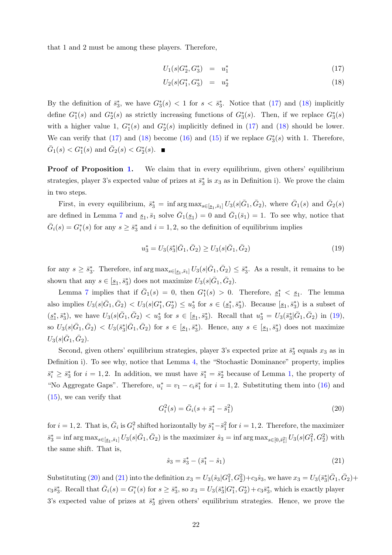that 1 and 2 must be among these players. Therefore,

<span id="page-21-0"></span>
$$
U_1(s|G_2^*, G_3^*) = u_1^* \tag{17}
$$

$$
U_2(s|G_1^*, G_3^*) = u_2^* \tag{18}
$$

By the definition of  $\bar{s}_3^*$ , we have  $G_3^*(s) < 1$  for  $s < \bar{s}_3^*$ . Notice that [\(17\)](#page-21-0) and [\(18\)](#page-21-0) implicitly define  $G_1^*(s)$  and  $G_2^*(s)$  as strictly increasing functions of  $G_3^*(s)$ . Then, if we replace  $G_3^*(s)$ with a higher value 1,  $G_1^*(s)$  and  $G_2^*(s)$  implicitly defined in [\(17\)](#page-21-0) and [\(18\)](#page-21-0) should be lower. We can verify that [\(17\)](#page-21-0) and [\(18\)](#page-21-0) become [\(16\)](#page-20-2) and [\(15\)](#page-20-3) if we replace  $G_3^*(s)$  with 1. Therefore,  $\bar{G}_1(s) < G_1^*(s)$  and  $\bar{G}_2(s) < G_2^*(s)$ .

Proof of Proposition [1.](#page-6-0) We claim that in every equilibrium, given others' equilibrium strategies, player 3's expected value of prizes at  $\bar{s}_3^*$  is  $x_3$  as in Definition i). We prove the claim in two steps.

First, in every equilibrium,  $\bar{s}_3^* = \inf \arg \max_{s \in [\underline{s}_1, \bar{s}_1]} U_3(s | \bar{G}_1, \bar{G}_2)$ , where  $\bar{G}_1(s)$  and  $\bar{G}_2(s)$ are defined in Lemma [7](#page-20-0) and  $\underline{s}_1, \overline{s}_1$  solve  $\overline{G}_1(\underline{s}_1) = 0$  and  $\overline{G}_1(\overline{s}_1) = 1$ . To see why, notice that  $\bar{G}_i(s) = G_i^*(s)$  for any  $s \geq \bar{s}_3^*$  and  $i = 1, 2$ , so the definition of equilibrium implies

<span id="page-21-1"></span>
$$
u_3^* = U_3(\bar{s}_3^* | \bar{G}_1, \bar{G}_2) \ge U_3(s | \bar{G}_1, \bar{G}_2)
$$
\n<sup>(19)</sup>

for any  $s \geq \bar{s}_3^*$ . Therefore, inf  $\arg \max_{s \in [\underline{s}_1, \bar{s}_1]} U_3(s|\bar{G}_1, \bar{G}_2) \leq \bar{s}_3^*$ . As a result, it remains to be shown that any  $s \in [\underline{s}_1, \overline{s}_3^*]$  does not maximize  $U_3(s|\overline{G}_1, \overline{G}_2)$ .

Lemma [7](#page-20-0) implies that if  $\bar{G}_1(s) = 0$ , then  $G_1^*(s) > 0$ . Therefore,  $s_1^* < s_1$ . The lemma also implies  $U_3(s|\bar{G}_1,\bar{G}_2) < U_3(s|G_1^*,G_2^*) \le u_3^*$  for  $s \in (\underline{s}_1^*,\overline{s}_3^*)$ . Because  $[\underline{s}_1,\overline{s}_3^*)$  is a subset of  $(s_1^*, \bar{s}_3^*)$ , we have  $U_3(s|\bar{G}_1, \bar{G}_2) < u_3^*$  for  $s \in [\underline{s}_1, \bar{s}_3^*]$ . Recall that  $u_3^* = U_3(\bar{s}_3^*|\bar{G}_1, \bar{G}_2)$  in [\(19\)](#page-21-1), so  $U_3(s|\bar{G}_1, \bar{G}_2) < U_3(\bar{s}_3^*|\bar{G}_1, \bar{G}_2)$  for  $s \in [\underline{s}_1, \bar{s}_3^*]$ . Hence, any  $s \in [\underline{s}_1, \bar{s}_3^*)$  does not maximize  $U_3(s|\bar{G}_1,\bar{G}_2).$ 

Second, given others' equilibrium strategies, player 3's expected prize at  $\bar{s}_3^*$  equals  $x_3$  as in Definition i). To see why, notice that Lemma [4,](#page-18-6) the "Stochastic Dominance" property, implies  $\bar{s}_i^* \geq \bar{s}_3^*$  for  $i = 1, 2$  $i = 1, 2$  $i = 1, 2$ . In addition, we must have  $\bar{s}_1^* = \bar{s}_2^*$  because of Lemma 1, the property of "No Aggregate Gaps". Therefore,  $u_i^* = v_1 - c_i \bar{s}_1^*$  for  $i = 1, 2$ . Substituting them into [\(16\)](#page-20-2) and [\(15\)](#page-20-3), we can verify that

<span id="page-21-2"></span>
$$
G_i^2(s) = \bar{G}_i(s + \bar{s}_1^* - \bar{s}_1^2)
$$
\n(20)

for  $i = 1, 2$ . That is,  $\bar{G}_i$  is  $G_i^2$  shifted horizontally by  $\bar{s}_1^* - \bar{s}_1^2$  for  $i = 1, 2$ . Therefore, the maximizer  $\bar{s}_3^* = \inf \arg \max_{s \in [s_1, \bar{s}_1]} U_3(s | \bar{G}_1, \bar{G}_2)$  is the maximizer  $\hat{s}_3 = \inf \arg \max_{s \in [0, \bar{s}_1^2]} U_3(s | G_1^2, G_2^2)$  with the same shift. That is,

<span id="page-21-3"></span>
$$
\hat{s}_3 = \bar{s}_3^* - (\bar{s}_1^* - \hat{s}_1) \tag{21}
$$

Substituting [\(20\)](#page-21-2) and [\(21\)](#page-21-3) into the definition  $x_3 = U_3(\hat{s}_3|G_1^2, G_2^2) + c_3\hat{s}_3$ , we have  $x_3 = U_3(\bar{s}_3^*|\bar{G}_1, \bar{G}_2) + c_3\hat{s}_3$  $c_3\bar{s}_3^*$ . Recall that  $\bar{G}_i(s) = G_i^*(s)$  for  $s \geq \bar{s}_3^*$ , so  $x_3 = U_3(\bar{s}_3^*|G_1^*, G_2^*) + c_3\bar{s}_3^*$ , which is exactly player 3's expected value of prizes at  $\bar{s}_3^*$  given others' equilibrium strategies. Hence, we prove the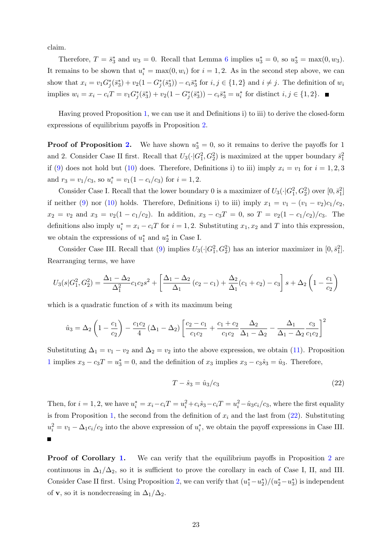claim.

Therefore,  $T = \bar{s}_3^*$  and  $w_3 = 0$ . Recall that Lemma [6](#page-19-3) implies  $u_3^* = 0$ , so  $u_3^* = \max(0, w_3)$ . It remains to be shown that  $u_i^* = \max(0, w_i)$  for  $i = 1, 2$ . As in the second step above, we can show that  $x_i = v_1 G_j^*(\bar{s}_3^*) + v_2(1 - G_j^*(\bar{s}_3^*)) - c_i \bar{s}_3^*$  for  $i, j \in \{1, 2\}$  and  $i \neq j$ . The definition of  $w_i$ implies  $w_i = x_i - c_i T = v_1 G_j^*(\bar{s}_3^*) + v_2(1 - G_j^*(\bar{s}_3^*)) - c_i \bar{s}_3^* = u_i^*$  for distinct  $i, j \in \{1, 2\}.$ 

Having proved Proposition [1,](#page-6-0) we can use it and Definitions i) to iii) to derive the closed-form expressions of equilibrium payoffs in Proposition [2.](#page-8-0)

**Proof of Proposition [2.](#page-8-0)** We have shown  $u_3^* = 0$ , so it remains to derive the payoffs for 1 and 2. Consider Case II first. Recall that  $U_3(\cdot|G_1^2, G_2^2)$  is maximized at the upper boundary  $\bar{s}_1^2$ if [\(9\)](#page-7-2) does not hold but [\(10\)](#page-7-3) does. Therefore, Definitions i) to iii) imply  $x_i = v_1$  for  $i = 1, 2, 3$ and  $r_3 = v_1/c_3$ , so  $u_i^* = v_1(1 - c_i/c_3)$  for  $i = 1, 2$ .

Consider Case I. Recall that the lower boundary 0 is a maximizer of  $U_3(\cdot|G_1^2, G_2^2)$  over  $[0, \bar{s}_1^2]$ if neither [\(9\)](#page-7-2) nor [\(10\)](#page-7-3) holds. Therefore, Definitions i) to iii) imply  $x_1 = v_1 - (v_1 - v_2)c_1/c_2$ ,  $x_2 = v_2$  and  $x_3 = v_2(1 - c_1/c_2)$ . In addition,  $x_3 - c_3T = 0$ , so  $T = v_2(1 - c_1/c_2)/c_3$ . The definitions also imply  $u_i^* = x_i - c_iT$  for  $i = 1, 2$ . Substituting  $x_1, x_2$  and T into this expression, we obtain the expressions of  $u_1^*$  and  $u_2^*$  in Case I.

Consider Case III. Recall that [\(9\)](#page-7-2) implies  $U_3(\cdot|G_1^2, G_2^2)$  has an interior maximizer in  $[0, \bar{s}_1^2]$ . Rearranging terms, we have

$$
U_3(s|G_1^2, G_2^2) = \frac{\Delta_1 - \Delta_2}{\Delta_1^2} c_1 c_2 s^2 + \left[ \frac{\Delta_1 - \Delta_2}{\Delta_1} (c_2 - c_1) + \frac{\Delta_2}{\Delta_1} (c_1 + c_2) - c_3 \right] s + \Delta_2 \left( 1 - \frac{c_1}{c_2} \right)
$$

which is a quadratic function of s with its maximum being

$$
\hat{u}_3 = \Delta_2 \left( 1 - \frac{c_1}{c_2} \right) - \frac{c_1 c_2}{4} \left( \Delta_1 - \Delta_2 \right) \left[ \frac{c_2 - c_1}{c_1 c_2} + \frac{c_1 + c_2}{c_1 c_2} \frac{\Delta_2}{\Delta_1 - \Delta_2} - \frac{\Delta_1}{\Delta_1 - \Delta_2} \frac{c_3}{c_1 c_2} \right]^2
$$

Substituting  $\Delta_1 = v_1 - v_2$  and  $\Delta_2 = v_2$  into the above expression, we obtain [\(11\)](#page-8-4). Proposition [1](#page-6-0) implies  $x_3 - c_3T = u_3^* = 0$ , and the definition of  $x_3$  implies  $x_3 - c_3\hat{s}_3 = \hat{u}_3$ . Therefore,

<span id="page-22-0"></span>
$$
T - \hat{s}_3 = \hat{u}_3/c_3 \tag{22}
$$

Then, for  $i = 1, 2$ , we have  $u_i^* = x_i - c_iT = u_i^2 + c_i\hat{s}_3 - c_iT = u_i^2 - \hat{u}_3c_i/c_3$ , where the first equality is from Proposition [1,](#page-6-0) the second from the definition of  $x_i$  and the last from [\(22\)](#page-22-0). Substituting  $u_i^2 = v_1 - \Delta_1 c_i/c_2$  into the above expression of  $u_i^*$ , we obtain the payoff expressions in Case III.  $\blacksquare$ 

**Proof of Corollary [1.](#page-9-1)** We can verify that the equilibrium payoffs in Proposition [2](#page-8-0) are continuous in  $\Delta_1/\Delta_2$ , so it is sufficient to prove the corollary in each of Case I, II, and III. Consider Case II first. Using Proposition [2,](#page-8-0) we can verify that  $(u_1^* - u_2^*)/(u_2^* - u_3^*)$  is independent of **v**, so it is nondecreasing in  $\Delta_1/\Delta_2$ .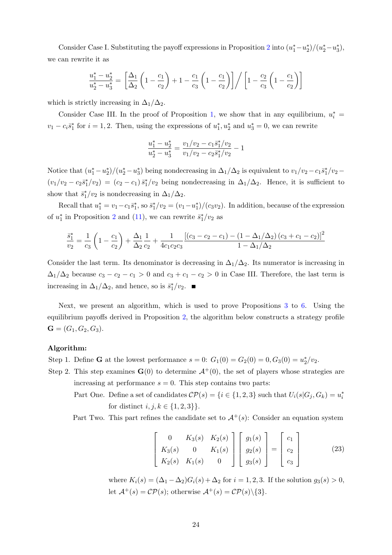Consider Case I. Substituting the payoff expressions in Proposition [2](#page-8-0) into  $(u_1^* - u_2^*)/(u_2^* - u_3^*),$ we can rewrite it as

$$
\frac{u_1^* - u_2^*}{u_2^* - u_3^*} = \left[ \frac{\Delta_1}{\Delta_2} \left( 1 - \frac{c_1}{c_2} \right) + 1 - \frac{c_1}{c_3} \left( 1 - \frac{c_1}{c_2} \right) \right] / \left[ 1 - \frac{c_2}{c_3} \left( 1 - \frac{c_1}{c_2} \right) \right]
$$

which is strictly increasing in  $\Delta_1/\Delta_2$ .

Consider Case III. In the proof of Proposition [1,](#page-6-0) we show that in any equilibrium,  $u_i^* =$  $v_1 - c_i \bar{s}_1^*$  for  $i = 1, 2$ . Then, using the expressions of  $u_1^*, u_2^*$  and  $u_3^* = 0$ , we can rewrite

$$
\frac{u_1^* - u_2^*}{u_2^* - u_3^*} = \frac{v_1/v_2 - c_1\bar{s}_1^*/v_2}{v_1/v_2 - c_2\bar{s}_1^*/v_2} - 1
$$

Notice that  $(u_1^* - u_2^*)/(u_2^* - u_3^*)$  being nondecreasing in  $\Delta_1/\Delta_2$  is equivalent to  $v_1/v_2 - c_1\bar{s}_1^*/v_2$  $(v_1/v_2 - c_2\bar{s}_1^*/v_2) = (c_2 - c_1)\bar{s}_1^*/v_2$  being nondecreasing in  $\Delta_1/\Delta_2$ . Hence, it is sufficient to show that  $\bar{s}_1^*/v_2$  is nondecreasing in  $\Delta_1/\Delta_2$ .

Recall that  $u_1^* = v_1 - c_1 \bar{s}_1^*$ , so  $\bar{s}_1^*/v_2 = (v_1 - u_1^*)/(c_3v_2)$ . In addition, because of the expression of  $u_1^*$  in Proposition [2](#page-8-0) and [\(11\)](#page-8-4), we can rewrite  $\bar{s}_1^*/v_2$  as

$$
\frac{\bar{s}_1^*}{v_2} = \frac{1}{c_3} \left( 1 - \frac{c_1}{c_2} \right) + \frac{\Delta_1}{\Delta_2} \frac{1}{c_2} + \frac{1}{4c_1c_2c_3} \frac{\left[ (c_3 - c_2 - c_1) - (1 - \Delta_1/\Delta_2) (c_3 + c_1 - c_2) \right]^2}{1 - \Delta_1/\Delta_2}
$$

Consider the last term. Its denominator is decreasing in  $\Delta_1/\Delta_2$ . Its numerator is increasing in  $\Delta_1/\Delta_2$  because  $c_3 - c_2 - c_1 > 0$  and  $c_3 + c_1 - c_2 > 0$  in Case III. Therefore, the last term is increasing in  $\Delta_1/\Delta_2$ , and hence, so is  $\bar{s}_1^*/v_2$ .

Next, we present an algorithm, which is used to prove Propositions [3](#page-9-2) to [6.](#page-12-0) Using the equilibrium payoffs derived in Proposition [2,](#page-8-0) the algorithm below constructs a strategy profile  $\mathbf{G} = (G_1, G_2, G_3).$ 

## Algorithm:

Step 1. Define **G** at the lowest performance  $s = 0$ :  $G_1(0) = G_2(0) = 0, G_3(0) = u_2^*/v_2$ .

- Step 2. This step examines  $\mathbf{G}(0)$  to determine  $\mathcal{A}^+(0)$ , the set of players whose strategies are increasing at performance  $s = 0$ . This step contains two parts:
	- Part One. Define a set of candidates  $\mathcal{CP}(s) = \{i \in \{1, 2, 3\} \text{ such that } U_i(s|G_j, G_k) = u_i^*$ for distinct  $i, j, k \in \{1, 2, 3\}$ .

Part Two. This part refines the candidate set to  $A^+(s)$ : Consider an equation system

<span id="page-23-0"></span>
$$
\begin{bmatrix} 0 & K_3(s) & K_2(s) \\ K_3(s) & 0 & K_1(s) \\ K_2(s) & K_1(s) & 0 \end{bmatrix} \begin{bmatrix} g_1(s) \\ g_2(s) \\ g_3(s) \end{bmatrix} = \begin{bmatrix} c_1 \\ c_2 \\ c_3 \end{bmatrix}
$$
(23)

where  $K_i(s) = (\Delta_1 - \Delta_2)G_i(s) + \Delta_2$  for  $i = 1, 2, 3$ . If the solution  $g_3(s) > 0$ , let  $\mathcal{A}^+(s) = \mathcal{CP}(s)$ ; otherwise  $\mathcal{A}^+(s) = \mathcal{CP}(s) \setminus \{3\}.$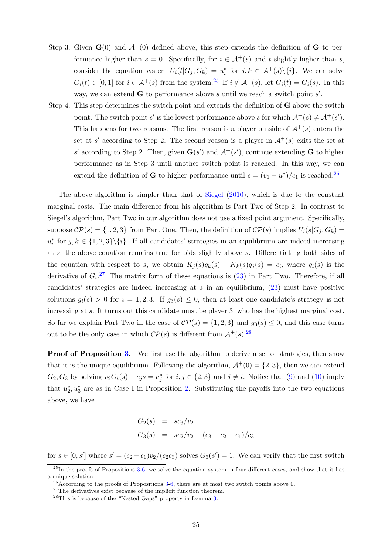- <span id="page-24-0"></span>Step 3. Given  $\mathbf{G}(0)$  and  $\mathcal{A}^+(0)$  defined above, this step extends the definition of  $\mathbf{G}$  to performance higher than  $s = 0$ . Specifically, for  $i \in A^+(s)$  and t slightly higher than s, consider the equation system  $U_i(t|G_j, G_k) = u_i^*$  for  $j, k \in A^+(s) \setminus \{i\}$ . We can solve  $G_i(t) \in [0,1]$  for  $i \in \mathcal{A}^+(s)$  from the system.<sup>[25](#page-24-1)</sup> If  $i \notin \mathcal{A}^+(s)$ , let  $G_i(t) = G_i(s)$ . In this way, we can extend  $G$  to performance above s until we reach a switch point  $s'$ .
- Step 4. This step determines the switch point and extends the definition of G above the switch point. The switch point s' is the lowest performance above s for which  $A^+(s) \neq A^+(s')$ . This happens for two reasons. The first reason is a player outside of  $\mathcal{A}^+(s)$  enters the set at s' according to Step 2. The second reason is a player in  $\mathcal{A}^+(s)$  exits the set at s' according to Step 2. Then, given  $\mathbf{G}(s')$  and  $\mathcal{A}^+(s')$ , continue extending G to higher performance as in Step 3 until another switch point is reached. In this way, we can extend the definition of **G** to higher performance until  $s = (v_1 - u_1^*)/c_1$  is reached.<sup>[26](#page-24-2)</sup>

The above algorithm is simpler than that of [Siegel](#page-17-0) [\(2010\)](#page-17-0), which is due to the constant marginal costs. The main difference from his algorithm is Part Two of Step 2. In contrast to Siegel's algorithm, Part Two in our algorithm does not use a fixed point argument. Specifically, suppose  $\mathcal{CP}(s) = \{1, 2, 3\}$  from Part One. Then, the definition of  $\mathcal{CP}(s)$  implies  $U_i(s|G_i, G_k)$  $u_i^*$  for  $j, k \in \{1, 2, 3\} \setminus \{i\}.$  If all candidates' strategies in an equilibrium are indeed increasing at s, the above equation remains true for bids slightly above s. Differentiating both sides of the equation with respect to s, we obtain  $K_j(s)g_k(s) + K_k(s)g_j(s) = c_i$ , where  $g_i(s)$  is the derivative of  $G_i$ <sup>[27](#page-24-3)</sup> The matrix form of these equations is [\(23\)](#page-23-0) in Part Two. Therefore, if all candidates' strategies are indeed increasing at  $s$  in an equilibrium,  $(23)$  must have positive solutions  $g_i(s) > 0$  for  $i = 1, 2, 3$ . If  $g_3(s) \leq 0$ , then at least one candidate's strategy is not increasing at s. It turns out this candidate must be player 3, who has the highest marginal cost. So far we explain Part Two in the case of  $\mathcal{CP}(s) = \{1, 2, 3\}$  and  $g_3(s) \leq 0$ , and this case turns out to be the only case in which  $\mathcal{CP}(s)$  is different from  $\mathcal{A}^+(s)$ . <sup>[28](#page-24-4)</sup>

**Proof of Proposition [3.](#page-9-2)** We first use the algorithm to derive a set of strategies, then show that it is the unique equilibrium. Following the algorithm,  $A^+(0) = \{2, 3\}$ , then we can extend  $G_2, G_3$  by solving  $v_2G_i(s) - c_js = u_j^*$  for  $i, j \in \{2,3\}$  and  $j \neq i$ . Notice that [\(9\)](#page-7-2) and [\(10\)](#page-7-3) imply that  $u_2^*, u_3^*$  are as in Case I in Proposition [2.](#page-8-0) Substituting the payoffs into the two equations above, we have

$$
G_2(s) = sc_3/v_2
$$
  
\n
$$
G_3(s) = sc_2/v_2 + (c_3 - c_2 + c_1)/c_3
$$

for  $s \in [0, s']$  where  $s' = (c_2 - c_1)v_2/(c_2c_3)$  solves  $G_3(s') = 1$ . We can verify that the first switch

<span id="page-24-1"></span> $^{25}$ In the proofs of Propositions  $3-6$  $3-6$ , we solve the equation system in four different cases, and show that it has a unique solution.

<span id="page-24-2"></span> $^{26}$ According to the proofs of Propositions [3-](#page-9-2)[6,](#page-12-0) there are at most two switch points above 0.

<span id="page-24-3"></span> $27$ The derivatives exist because of the implicit function theorem.

<span id="page-24-4"></span><sup>28</sup>This is because of the "Nested Gaps" property in Lemma [3.](#page-18-9)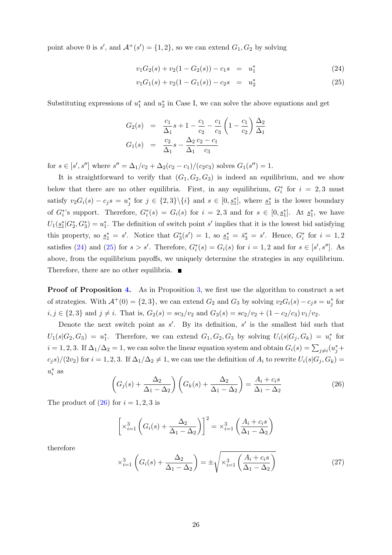point above 0 is  $s'$ , and  $\mathcal{A}^+(s') = \{1,2\}$ , so we can extend  $G_1, G_2$  by solving

<span id="page-25-0"></span>
$$
v_1 G_2(s) + v_2 (1 - G_2(s)) - c_1 s = u_1^*
$$
\n(24)

$$
v_1G_1(s) + v_2(1 - G_1(s)) - c_2s = u_2^*
$$
\n(25)

Substituting expressions of  $u_1^*$  and  $u_2^*$  in Case I, we can solve the above equations and get

$$
G_2(s) = \frac{c_1}{\Delta_1}s + 1 - \frac{c_1}{c_2} - \frac{c_1}{c_3}\left(1 - \frac{c_1}{c_2}\right)\frac{\Delta_2}{\Delta_1}
$$
  

$$
G_1(s) = \frac{c_2}{\Delta_1}s - \frac{\Delta_2}{\Delta_1}\frac{c_2 - c_1}{c_3}
$$

for  $s \in [s', s'']$  where  $s'' = \Delta_1/c_2 + \Delta_2(c_2 - c_1)/(c_2 c_3)$  solves  $G_1(s'') = 1$ .

It is straightforward to verify that  $(G_1, G_2, G_3)$  is indeed an equilibrium, and we show below that there are no other equilibria. First, in any equilibrium,  $G_i^*$  for  $i = 2,3$  must satisfy  $v_2G_i(s) - c_j s = u_j^*$  for  $j \in \{2,3\} \setminus \{i\}$  and  $s \in [0, s_1^*]$ , where  $s_1^*$  is the lower boundary of  $G_i^*$ 's support. Therefore,  $G_i^*(s) = G_i(s)$  for  $i = 2, 3$  and for  $s \in [0, \underline{s}_1^*]$ . At  $\underline{s}_1^*$ , we have  $U_1(\underline{s}_1^*|G_2^*, G_3^*) = u_1^*$ . The definition of switch point s' implies that it is the lowest bid satisfying this property, so  $s_1^* = s'$ . Notice that  $G_3^*(s') = 1$ , so  $s_1^* = \overline{s}_3^* = s'$ . Hence,  $G_i^*$  for  $i = 1, 2$ satisfies [\(24\)](#page-25-0) and [\(25\)](#page-25-0) for  $s > s'$ . Therefore,  $G_i^*(s) = G_i(s)$  for  $i = 1, 2$  and for  $s \in [s', s'']$ . As above, from the equilibrium payoffs, we uniquely determine the strategies in any equilibrium. Therefore, there are no other equilibria.  $\blacksquare$ 

**Proof of Proposition [4.](#page-10-3)** As in Proposition [3,](#page-9-2) we first use the algorithm to construct a set of strategies. With  $\mathcal{A}^+(0) = \{2,3\}$ , we can extend  $G_2$  and  $G_3$  by solving  $v_2G_i(s) - c_j s = u_j^*$  for  $i, j \in \{2, 3\}$  and  $j \neq i$ . That is,  $G_2(s) = sc_3/v_2$  and  $G_3(s) = sc_2/v_2 + (1 - c_2/c_3)v_1/v_2$ .

Denote the next switch point as  $s'$ . By its definition,  $s'$  is the smallest bid such that  $U_1(s|G_2,G_3) = u_1^*$ . Therefore, we can extend  $G_1, G_2, G_3$  by solving  $U_i(s|G_j, G_k) = u_i^*$  for  $i = 1, 2, 3$ . If  $\Delta_1/\Delta_2 = 1$ , we can solve the linear equation system and obtain  $G_i(s) = \sum_{j \neq i} (u_j^* +$  $(c_j s)/(2v_2)$  for  $i = 1, 2, 3$ . If  $\Delta_1/\Delta_2 \neq 1$ , we can use the definition of  $A_i$  to rewrite  $U_i(s|G_j, G_k)$  $u_i^*$  as

<span id="page-25-1"></span>
$$
\left(G_j(s) + \frac{\Delta_2}{\Delta_1 - \Delta_2}\right)\left(G_k(s) + \frac{\Delta_2}{\Delta_1 - \Delta_2}\right) = \frac{A_i + c_i s}{\Delta_1 - \Delta_2} \tag{26}
$$

The product of  $(26)$  for  $i = 1, 2, 3$  is

$$
\left[\times_{i=1}^{3} \left(G_i(s) + \frac{\Delta_2}{\Delta_1 - \Delta_2}\right)\right]^2 = \times_{i=1}^{3} \left(\frac{A_i + c_i s}{\Delta_1 - \Delta_2}\right)
$$

therefore

<span id="page-25-2"></span>
$$
\times_{i=1}^{3} \left( G_i(s) + \frac{\Delta_2}{\Delta_1 - \Delta_2} \right) = \pm \sqrt{\times_{i=1}^{3} \left( \frac{A_i + c_i s}{\Delta_1 - \Delta_2} \right)}
$$
(27)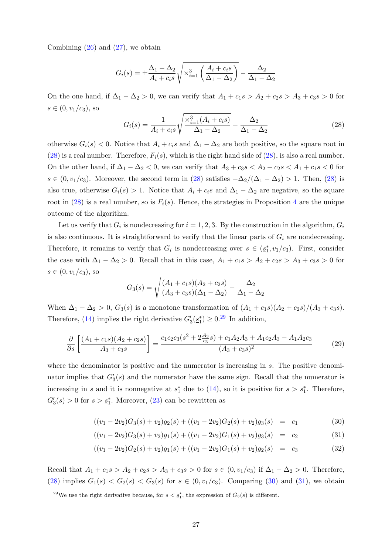Combining  $(26)$  and  $(27)$ , we obtain

$$
G_i(s) = \pm \frac{\Delta_1 - \Delta_2}{A_i + c_i s} \sqrt{\times_{i=1}^3 \left(\frac{A_i + c_i s}{\Delta_1 - \Delta_2}\right)} - \frac{\Delta_2}{\Delta_1 - \Delta_2}
$$

On the one hand, if  $\Delta_1 - \Delta_2 > 0$ , we can verify that  $A_1 + c_1 s > A_2 + c_2 s > A_3 + c_3 s > 0$  for  $s \in (0, v_1/c_3)$ , so

<span id="page-26-0"></span>
$$
G_i(s) = \frac{1}{A_i + c_i s} \sqrt{\frac{\times_{i=1}^3 (A_i + c_i s)}{\Delta_1 - \Delta_2}} - \frac{\Delta_2}{\Delta_1 - \Delta_2}
$$
(28)

otherwise  $G_i(s) < 0$ . Notice that  $A_i + c_i s$  and  $\Delta_1 - \Delta_2$  are both positive, so the square root in  $(28)$  is a real number. Therefore,  $F_i(s)$ , which is the right hand side of  $(28)$ , is also a real number. On the other hand, if  $\Delta_1 - \Delta_2 < 0$ , we can verify that  $A_3 + c_3 s < A_2 + c_2 s < A_1 + c_1 s < 0$  for  $s \in (0, v_1/c_3)$ . Moreover, the second term in [\(28\)](#page-26-0) satisfies  $-\Delta_2/(\Delta_1 - \Delta_2) > 1$ . Then, (28) is also true, otherwise  $G_i(s) > 1$ . Notice that  $A_i + c_i s$  and  $\Delta_1 - \Delta_2$  are negative, so the square root in [\(28\)](#page-26-0) is a real number, so is  $F_i(s)$ . Hence, the strategies in Proposition [4](#page-10-3) are the unique outcome of the algorithm.

Let us verify that  $G_i$  is nondecreasing for  $i = 1, 2, 3$ . By the construction in the algorithm,  $G_i$ is also continuous. It is straightforward to verify that the linear parts of  $G_i$  are nondecreasing. Therefore, it remains to verify that  $G_i$  is nondecreasing over  $s \in (\underline{s}_1^*, v_1/c_3)$ . First, consider the case with  $\Delta_1 - \Delta_2 > 0$ . Recall that in this case,  $A_1 + c_1 s > A_2 + c_2 s > A_3 + c_3 s > 0$  for  $s \in (0, v_1/c_3)$ , so

$$
G_3(s) = \sqrt{\frac{(A_1 + c_1s)(A_2 + c_2s)}{(A_3 + c_3s)(\Delta_1 - \Delta_2)}} - \frac{\Delta_2}{\Delta_1 - \Delta_2}
$$

When  $\Delta_1 - \Delta_2 > 0$ ,  $G_3(s)$  is a monotone transformation of  $(A_1 + c_1s)(A_2 + c_2s)/(A_3 + c_3s)$ . Therefore, [\(14\)](#page-10-4) implies the right derivative  $G'_3(\underline{s}_1^*) \geq 0.^{29}$  $G'_3(\underline{s}_1^*) \geq 0.^{29}$  $G'_3(\underline{s}_1^*) \geq 0.^{29}$  In addition,

<span id="page-26-3"></span>
$$
\frac{\partial}{\partial s} \left[ \frac{(A_1 + c_1 s)(A_2 + c_2 s)}{A_3 + c_3 s} \right] = \frac{c_1 c_2 c_3 (s^2 + 2\frac{A_3}{c_3} s) + c_1 A_2 A_3 + A_1 c_2 A_3 - A_1 A_2 c_3}{(A_3 + c_3 s)^2} \tag{29}
$$

where the denominator is positive and the numerator is increasing in s. The positive denominator implies that  $G'_3(s)$  and the numerator have the same sign. Recall that the numerator is increasing in s and it is nonnegative at  $s_1^*$  due to [\(14\)](#page-10-4), so it is positive for  $s > s_1^*$ . Therefore,  $G'_3(s) > 0$  for  $s > \underline{s}_1^*$ . Moreover, [\(23\)](#page-23-0) can be rewritten as

<span id="page-26-2"></span>
$$
((v_1 - 2v_2)G_3(s) + v_2)g_2(s) + ((v_1 - 2v_2)G_2(s) + v_2)g_3(s) = c_1
$$
\n(30)

$$
((v_1 - 2v_2)G_3(s) + v_2)g_1(s) + ((v_1 - 2v_2)G_1(s) + v_2)g_3(s) = c_2
$$
\n(31)

$$
((v_1 - 2v_2)G_2(s) + v_2)g_1(s) + ((v_1 - 2v_2)G_1(s) + v_2)g_2(s) = c_3
$$
\n(32)

Recall that  $A_1 + c_1 s > A_2 + c_2 s > A_3 + c_3 s > 0$  for  $s \in (0, v_1/c_3)$  if  $\Delta_1 - \Delta_2 > 0$ . Therefore, [\(28\)](#page-26-0) implies  $G_1(s) < G_2(s) < G_3(s)$  for  $s \in (0, v_1/c_3)$ . Comparing [\(30\)](#page-26-2) and [\(31\)](#page-26-2), we obtain

<span id="page-26-1"></span><sup>&</sup>lt;sup>29</sup>We use the right derivative because, for  $s < \underline{s_1}^*$ , the expression of  $G_3(s)$  is different.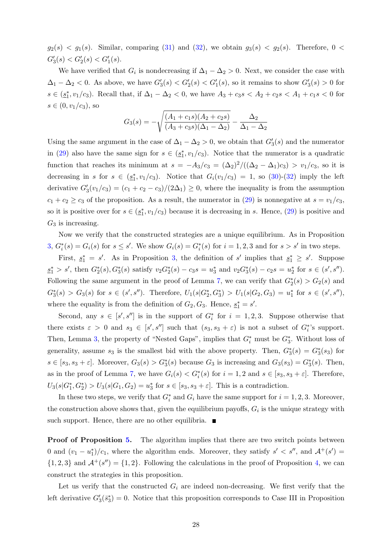$g_2(s) < g_1(s)$ . Similar, comparing [\(31\)](#page-26-2) and [\(32\)](#page-26-2), we obtain  $g_3(s) < g_2(s)$ . Therefore, 0 <  $G'_3(s) < G'_2(s) < G'_1(s)$ .

We have verified that  $G_i$  is nondecreasing if  $\Delta_1 - \Delta_2 > 0$ . Next, we consider the case with  $\Delta_1 - \Delta_2 < 0$ . As above, we have  $G_3'(s) < G_2'(s) < G_1'(s)$ , so it remains to show  $G_3'(s) > 0$  for  $s \in (\underline{s}_1^*, v_1/c_3)$ . Recall that, if  $\Delta_1 - \Delta_2 < 0$ , we have  $A_3 + c_3 s < A_2 + c_2 s < A_1 + c_1 s < 0$  for  $s \in (0, v_1/c_3)$ , so

$$
G_3(s) = -\sqrt{\frac{(A_1 + c_1s)(A_2 + c_2s)}{(A_3 + c_3s)(\Delta_1 - \Delta_2)}} - \frac{\Delta_2}{\Delta_1 - \Delta_2}
$$

Using the same argument in the case of  $\Delta_1 - \Delta_2 > 0$ , we obtain that  $G'_3(s)$  and the numerator in [\(29\)](#page-26-3) also have the same sign for  $s \in (\underline{s}_1^*, v_1/c_3)$ . Notice that the numerator is a quadratic function that reaches its minimum at  $s = -A_3/c_3 = (\Delta_2)^2/((\Delta_2 - \Delta_1)c_3) > v_1/c_3$ , so it is decreasing in s for  $s \in (\underline{s}_1^*, v_1/c_3)$ . Notice that  $G_i(v_1/c_3) = 1$ , so [\(30\)](#page-26-2)-[\(32\)](#page-26-2) imply the left derivative  $G'_3(v_1/c_3) = (c_1 + c_2 - c_3)/(2\Delta_1) \geq 0$ , where the inequality is from the assumption  $c_1 + c_2 \geq c_3$  of the proposition. As a result, the numerator in [\(29\)](#page-26-3) is nonnegative at  $s = v_1/c_3$ , so it is positive over for  $s \in (\underline{s}_1^*, v_1/c_3)$  because it is decreasing in s. Hence, [\(29\)](#page-26-3) is positive and  $G_3$  is increasing.

Now we verify that the constructed strategies are a unique equilibrium. As in Proposition [3,](#page-9-2)  $G_i^*(s) = G_i(s)$  for  $s \leq s'$ . We show  $G_i(s) = G_i^*(s)$  for  $i = 1, 2, 3$  and for  $s > s'$  in two steps.

First,  $s_1^* = s'$ . As in Proposition [3,](#page-9-2) the definition of s' implies that  $s_1^* \geq s'$ . Suppose  $s_1^* > s'$ , then  $G_2^*(s)$ ,  $G_3^*(s)$  satisfy  $v_2G_2^*(s) - c_3s = u_3^*$  and  $v_2G_3^*(s) - c_2s = u_2^*$  for  $s \in (s', s'')$ . Following the same argument in the proof of Lemma [7,](#page-20-0) we can verify that  $G_2^*(s) > G_2(s)$  and  $G_3^*(s) > G_3(s)$  for  $s \in (s', s'')$ . Therefore,  $U_1(s|G_2^*, G_3^*) > U_1(s|G_2, G_3) = u_1^*$  for  $s \in (s', s'')$ , where the equality is from the definition of  $G_2, G_3$ . Hence,  $\underline{s}_1^* = s'$ .

Second, any  $s \in [s', s'']$  is in the support of  $G_i^*$  for  $i = 1, 2, 3$ . Suppose otherwise that there exists  $\varepsilon > 0$  and  $s_3 \in [s', s'']$  such that  $(s_3, s_3 + \varepsilon)$  is not a subset of  $G_i^*$ 's support. Then, Lemma [3,](#page-18-9) the property of "Nested Gaps", implies that  $G_i^*$  must be  $G_3^*$ . Without loss of generality, assume  $s_3$  is the smallest bid with the above property. Then,  $G_3^*(s) = G_3^*(s_3)$  for  $s \in [s_3, s_3 + \varepsilon]$ . Moreover,  $G_3(s) > G_3^*(s)$  because  $G_3$  is increasing and  $G_3(s_3) = G_3^*(s)$ . Then, as in the proof of Lemma [7,](#page-20-0) we have  $G_i(s) < G_i^*(s)$  for  $i = 1, 2$  and  $s \in [s_3, s_3 + \varepsilon]$ . Therefore,  $U_3(s|G_1^*, G_2^*) > U_3(s|G_1, G_2) = u_3^*$  for  $s \in [s_3, s_3 + \varepsilon]$ . This is a contradiction.

In these two steps, we verify that  $G_i^*$  and  $G_i$  have the same support for  $i = 1, 2, 3$ . Moreover, the construction above shows that, given the equilibrium payoffs,  $G_i$  is the unique strategy with such support. Hence, there are no other equilibria.  $\blacksquare$ 

**Proof of Proposition [5.](#page-11-0)** The algorithm implies that there are two switch points between 0 and  $(v_1 - u_1^*)/c_1$ , where the algorithm ends. Moreover, they satisfy  $s' < s''$ , and  $\mathcal{A}^+(s') =$  $\{1,2,3\}$  and  $\mathcal{A}^+(s'') = \{1,2\}$ . Following the calculations in the proof of Proposition [4,](#page-10-3) we can construct the strategies in this proposition.

Let us verify that the constructed  $G_i$  are indeed non-decreasing. We first verify that the left derivative  $G'_3(\bar{s}_3^*)=0$ . Notice that this proposition corresponds to Case III in Proposition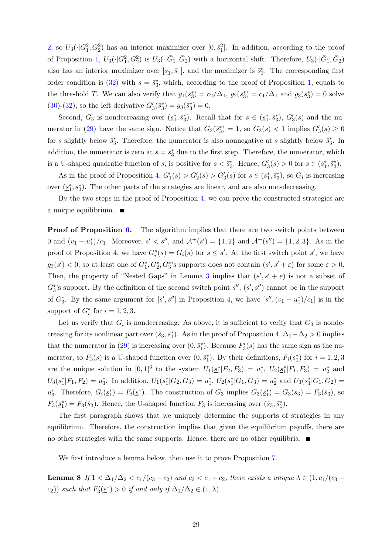[2,](#page-8-0) so  $U_3(\cdot|G_1^2, G_2^2)$  has an interior maximizer over  $[0, \bar{s}_1^2]$ . In addition, according to the proof of Proposition [1,](#page-6-0)  $U_3(\cdot|G_1^2, G_2^2)$  is  $U_3(\cdot|\bar{G}_1, \bar{G}_2)$  with a horizontal shift. Therefore,  $U_3(\cdot|\bar{G}_1, \bar{G}_2)$ also has an interior maximizer over  $[\underline{s}_1, \overline{s}_1]$ , and the maximizer is  $\overline{s}_3^*$ . The corresponding first order condition is [\(32\)](#page-26-2) with  $s = \bar{s}_3^*$ , which, according to the proof of Proposition [1,](#page-6-0) equals to the threshold T. We can also verify that  $g_1(\bar{s}_3^*) = c_2/\Delta_1$ ,  $g_2(\bar{s}_3^*) = c_1/\Delta_1$  and  $g_3(\bar{s}_3^*) = 0$  solve [\(30\)](#page-26-2)-[\(32\)](#page-26-2), so the left derivative  $G'_3(\bar{s}_3^*) = g_3(\bar{s}_3^*) = 0$ .

Second,  $G_3$  is nondecreasing over  $(\underline{s}_1^*, \overline{s}_3^*)$ . Recall that for  $s \in (\underline{s}_1^*, \overline{s}_3^*)$ ,  $G'_3(s)$  and the nu-merator in [\(29\)](#page-26-3) have the same sign. Notice that  $G_3(\bar{s}_3^*) = 1$ , so  $G_3(s) < 1$  implies  $G_3'(s) \geq 0$ for s slightly below  $\bar{s}_3^*$ . Therefore, the numerator is also nonnegative at s slightly below  $\bar{s}_3^*$ . In addition, the numerator is zero at  $s = \bar{s}_3^*$  due to the first step. Therefore, the numerator, which is a U-shaped quadratic function of s, is positive for  $s < \bar{s}_3^*$ . Hence,  $G'_3(s) > 0$  for  $s \in (\underline{s}_1^*, \bar{s}_3^*)$ .

As in the proof of Proposition [4,](#page-10-3)  $G_1'(s) > G_2'(s) > G_3'(s)$  for  $s \in (\underline{s_1^*, \overline{s_3^*}})$ , so  $G_i$  is increasing over  $(\underline{s}_1^*, \overline{s}_3^*)$ . The other parts of the strategies are linear, and are also non-decreasing.

By the two steps in the proof of Proposition [4,](#page-10-3) we can prove the constructed strategies are a unique equilibrium.  $\blacksquare$ 

**Proof of Proposition [6.](#page-12-0)** The algorithm implies that there are two switch points between 0 and  $(v_1 - u_1^*)/c_1$ . Moreover,  $s' < s''$ , and  $\mathcal{A}^+(s') = \{1,2\}$  and  $\mathcal{A}^+(s'') = \{1,2,3\}$ . As in the proof of Proposition [4,](#page-10-3) we have  $G_i^*(s) = G_i(s)$  for  $s \leq s'$ . At the first switch point s', we have  $g_3(s') < 0$ , so at least one of  $G_1^*, G_2^*, G_3^*$ 's supports does not contain  $(s', s' + \varepsilon)$  for some  $\varepsilon > 0$ . Then, the property of "Nested Gaps" in Lemma [3](#page-18-9) implies that  $(s', s' + \varepsilon)$  is not a subset of  $G_3^*$ 's support. By the definition of the second switch point  $s''$ ,  $(s', s'')$  cannot be in the support of  $G_3^*$ . By the same argument for  $[s', s'']$  in Proposition [4,](#page-10-3) we have  $[s'', (v_1 - u_1^*)/c_1]$  is in the support of  $G_i^*$  for  $i = 1, 2, 3$ .

Let us verify that  $G_i$  is nondecreasing. As above, it is sufficient to verify that  $G_3$  is nondecreasing for its nonlinear part over  $(\hat{s}_3, \bar{s}_1^*)$ . As in the proof of Proposition [4,](#page-10-3)  $\Delta_1-\Delta_2 > 0$  implies that the numerator in [\(29\)](#page-26-3) is increasing over  $(0, \bar{s}_1^*)$ . Because  $F_3'(s)$  has the same sign as the numerator, so  $F_3(s)$  is a U-shaped function over  $(0, \bar{s}_1^*)$ . By their definitions,  $F_i(\underline{s}_1^*)$  for  $i = 1, 2, 3$ are the unique solution in  $[0,1]^3$  to the system  $U_1(\underline{s_1^*}|F_2,F_3) = u_1^*, U_2(\underline{s_1^*}|F_1,F_3) = u_2^*$  and  $U_3(\underline{s}_1^* | F_1, F_2) = u_3^*$ . In addition,  $U_1(\underline{s}_1^* | G_2, G_3) = u_1^*, U_2(\underline{s}_1^* | G_1, G_3) = u_2^*$  and  $U_3(\underline{s}_1^* | G_1, G_2) =$  $u_3^*$ . Therefore,  $G_i(\underline{s}_1^*) = F_i(\underline{s}_1^*)$ . The construction of  $G_3$  implies  $G_3(\underline{s}_1^*) = G_3(\hat{s}_3) = F_3(\hat{s}_3)$ , so  $F_3(\underline{s}_1^*) = F_3(\hat{s}_3)$ . Hence, the U-shaped function  $F_3$  is increasing over  $(\hat{s}_3, \overline{s}_1^*)$ .

The first paragraph shows that we uniquely determine the supports of strategies in any equilibrium. Therefore, the construction implies that given the equilibrium payoffs, there are no other strategies with the same supports. Hence, there are no other equilibria.  $\blacksquare$ 

We first introduce a lemma below, then use it to prove Proposition [7.](#page-13-1)

<span id="page-28-0"></span>**Lemma 8** If  $1 < \Delta_1/\Delta_2 < c_1/(c_3 - c_2)$  and  $c_3 < c_1 + c_2$ , there exists a unique  $\lambda \in (1, c_1/(c_3 - c_2))$  $(c_2)$ ) such that  $F_3'(\underline{s}_1^*) > 0$  if and only if  $\Delta_1/\Delta_2 \in (1, \lambda)$ .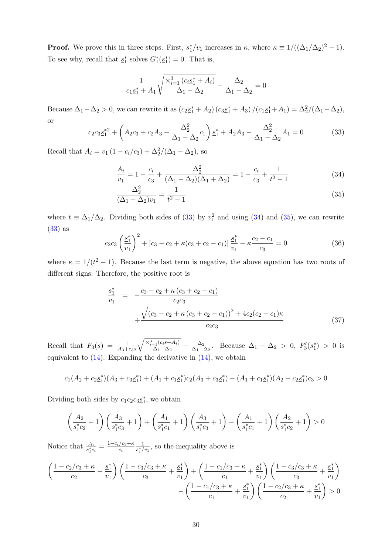**Proof.** We prove this in three steps. First,  $s_1^*/v_1$  increases in  $\kappa$ , where  $\kappa \equiv 1/((\Delta_1/\Delta_2)^2 - 1)$ . To see why, recall that  $\underline{s}_1^*$  solves  $G_1^*(\underline{s}_1^*) = 0$ . That is,

$$
\frac{1}{c_1 \underline{s}_1^* + A_1} \sqrt{\frac{\times_{i=1}^3 (c_i \underline{s}_1^* + A_i)}{\Delta_1 - \Delta_2}} - \frac{\Delta_2}{\Delta_1 - \Delta_2} = 0
$$

Because  $\Delta_1 - \Delta_2 > 0$ , we can rewrite it as  $(c_2 s_1^* + A_2) (c_3 s_1^* + A_3) / (c_1 s_1^* + A_1) = \Delta_2^2 / (\Delta_1 - \Delta_2)$ , or

<span id="page-29-0"></span>
$$
c_2 c_3 \underline{s}_1^{*2} + \left(A_2 c_3 + c_2 A_3 - \frac{\Delta_2^2}{\Delta_1 - \Delta_2} c_1\right) \underline{s}_1^* + A_2 A_3 - \frac{\Delta_2^2}{\Delta_1 - \Delta_2} A_1 = 0 \tag{33}
$$

Recall that  $A_i = v_1 (1 - c_i/c_3) + \Delta_2^2/(\Delta_1 - \Delta_2)$ , so

<span id="page-29-1"></span>
$$
\frac{A_i}{v_1} = 1 - \frac{c_i}{c_3} + \frac{\Delta_2^2}{(\Delta_1 - \Delta_2)(\Delta_1 + \Delta_2)} = 1 - \frac{c_i}{c_3} + \frac{1}{t^2 - 1}
$$
(34)

$$
\frac{\Delta_2^2}{(\Delta_1 - \Delta_2)v_1} = \frac{1}{t^2 - 1}
$$
\n(35)

where  $t \equiv \Delta_1/\Delta_2$ . Dividing both sides of [\(33\)](#page-29-0) by  $v_1^2$  and using [\(34\)](#page-29-1) and [\(35\)](#page-29-1), we can rewrite [\(33\)](#page-29-0) as

<span id="page-29-2"></span>
$$
c_2 c_3 \left(\frac{\underline{s}_1^*}{v_1}\right)^2 + [c_3 - c_2 + \kappa(c_3 + c_2 - c_1)] \frac{\underline{s}_1^*}{v_1} - \kappa \frac{c_2 - c_1}{c_3} = 0 \tag{36}
$$

where  $\kappa = 1/(t^2 - 1)$ . Because the last term is negative, the above equation has two roots of different signs. Therefore, the positive root is

<span id="page-29-3"></span>
$$
\frac{\underline{s}_{1}^{*}}{v_{1}} = -\frac{c_{3} - c_{2} + \kappa (c_{3} + c_{2} - c_{1})}{c_{2}c_{3}} + \frac{\sqrt{(c_{3} - c_{2} + \kappa (c_{3} + c_{2} - c_{1}))^{2} + 4c_{2}(c_{2} - c_{1})\kappa}}{c_{2}c_{3}} \tag{37}
$$

Recall that  $F_3(s) = \frac{1}{A_3+c_3s}$  $\sqrt{\frac{\chi_{i=1}^3(c_is+A_i)}{n}}$  $\frac{1}{\Delta_1-\Delta_2}$  -  $\frac{\Delta_2}{\Delta_1-\Delta_2}$  $\frac{\Delta_2}{\Delta_1-\Delta_2}$ . Because  $\Delta_1 - \Delta_2 > 0$ ,  $F'_3(\underline{s}_1^*) > 0$  is equivalent to  $(14)$ . Expanding the derivative in  $(14)$ , we obtain

$$
c_1(A_2 + c_2\underline{s}_1^*)(A_3 + c_3\underline{s}_1^*) + (A_1 + c_1\underline{s}_1^*)c_2(A_3 + c_3\underline{s}_1^*) - (A_1 + c_1\underline{s}_1^*)(A_2 + c_2\underline{s}_1^*)c_3 > 0
$$

Dividing both sides by  $c_1c_2c_3s_1^*$ , we obtain

$$
\left(\frac{A_2}{\underline{s}_1^*c_2} + 1\right)\left(\frac{A_3}{\underline{s}_1^*c_3} + 1\right) + \left(\frac{A_1}{\underline{s}_1^*c_1} + 1\right)\left(\frac{A_3}{\underline{s}_1^*c_3} + 1\right) - \left(\frac{A_1}{\underline{s}_1^*c_1} + 1\right)\left(\frac{A_2}{\underline{s}_1^*c_2} + 1\right) > 0
$$

Notice that  $\frac{A_i}{s_1^*c_i} = \frac{1-c_i/c_3+\kappa}{c_i}$  $\overline{c_i}$ 1  $\frac{1}{\underline{s_1^*}/v_1}$ , so the inequality above is

$$
\left(\frac{1-c_2/c_3+\kappa}{c_2}+\frac{s_1^*}{v_1}\right)\left(\frac{1-c_3/c_3+\kappa}{c_3}+\frac{s_1^*}{v_1}\right)+\left(\frac{1-c_1/c_3+\kappa}{c_1}+\frac{s_1^*}{v_1}\right)\left(\frac{1-c_3/c_3+\kappa}{c_3}+\frac{s_1^*}{v_1}\right)
$$

$$
-\left(\frac{1-c_1/c_3+\kappa}{c_1}+\frac{s_1^*}{v_1}\right)\left(\frac{1-c_2/c_3+\kappa}{c_2}+\frac{s_1^*}{v_1}\right)>0
$$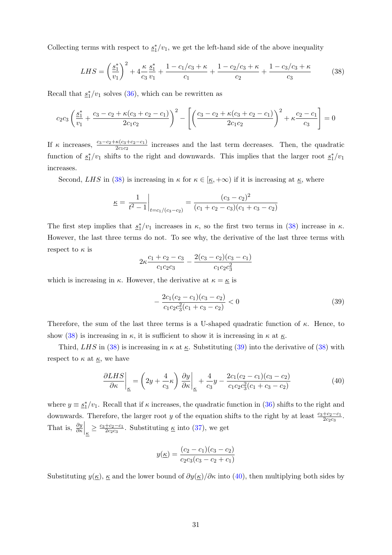Collecting terms with respect to  $s_1^*/v_1$ , we get the left-hand side of the above inequality

<span id="page-30-0"></span>
$$
LHS = \left(\frac{\underline{s}_1^*}{v_1}\right)^2 + 4\frac{\kappa}{c_3}\frac{\underline{s}_1^*}{v_1} + \frac{1 - c_1/c_3 + \kappa}{c_1} + \frac{1 - c_2/c_3 + \kappa}{c_2} + \frac{1 - c_3/c_3 + \kappa}{c_3} \tag{38}
$$

Recall that  $\underline{s}_1^*/v_1$  solves [\(36\)](#page-29-2), which can be rewritten as

$$
c_2c_3\left(\frac{\underline{s}_1^*}{v_1} + \frac{c_3 - c_2 + \kappa(c_3 + c_2 - c_1)}{2c_1c_2}\right)^2 - \left[\left(\frac{c_3 - c_2 + \kappa(c_3 + c_2 - c_1)}{2c_1c_2}\right)^2 + \kappa\frac{c_2 - c_1}{c_3}\right] = 0
$$

If  $\kappa$  increases,  $\frac{c_3-c_2+\kappa(c_3+c_2-c_1)}{2c_1c_2}$  increases and the last term decreases. Then, the quadratic function of  $s_1^*/v_1$  shifts to the right and downwards. This implies that the larger root  $s_1^*/v_1$ increases.

Second, LHS in [\(38\)](#page-30-0) is increasing in  $\kappa$  for  $\kappa \in [\underline{\kappa}, +\infty)$  if it is increasing at  $\underline{\kappa}$ , where

$$
\underline{\kappa} = \frac{1}{t^2 - 1} \bigg|_{t = c_1/(c_3 - c_2)} = \frac{(c_3 - c_2)^2}{(c_1 + c_2 - c_3)(c_1 + c_3 - c_2)}
$$

The first step implies that  $s_1^*/v_1$  increases in  $\kappa$ , so the first two terms in [\(38\)](#page-30-0) increase in  $\kappa$ . However, the last three terms do not. To see why, the derivative of the last three terms with respect to  $\kappa$  is

$$
2\kappa \frac{c_1+c_2-c_3}{c_1c_2c_3} - \frac{2(c_3-c_2)(c_3-c_1)}{c_1c_2c_3^2}
$$

which is increasing in  $\kappa$ . However, the derivative at  $\kappa = \underline{\kappa}$  is

<span id="page-30-1"></span>
$$
-\frac{2c_1(c_2 - c_1)(c_3 - c_2)}{c_1c_2c_3^2(c_1 + c_3 - c_2)} < 0
$$
\n(39)

Therefore, the sum of the last three terms is a U-shaped quadratic function of  $\kappa$ . Hence, to show [\(38\)](#page-30-0) is increasing in  $\kappa$ , it is sufficient to show it is increasing in  $\kappa$  at  $\kappa$ .

Third, LHS in [\(38\)](#page-30-0) is increasing in  $\kappa$  at  $\underline{\kappa}$ . Substituting [\(39\)](#page-30-1) into the derivative of (38) with respect to  $\kappa$  at  $\underline{\kappa}$ , we have

<span id="page-30-2"></span>
$$
\frac{\partial LHS}{\partial \kappa}\bigg|_{\underline{\kappa}} = \left(2y + \frac{4}{c_3}\kappa\right)\frac{\partial y}{\partial \kappa}\bigg|_{\underline{\kappa}} + \frac{4}{c_3}y - \frac{2c_1(c_2 - c_1)(c_3 - c_2)}{c_1c_2c_3^2(c_1 + c_3 - c_2)}\tag{40}
$$

where  $y \equiv \frac{s_1}{2}v_1$ . Recall that if  $\kappa$  increases, the quadratic function in [\(36\)](#page-29-2) shifts to the right and downwards. Therefore, the larger root y of the equation shifts to the right by at least  $\frac{c_3+c_2-c_1}{2c_2c_3}$ . That is,  $\frac{\partial y}{\partial \kappa}\Big|_{\underline{\kappa}} \geq \frac{c_3 + c_2 - c_1}{2c_2c_3}$  $\frac{+c_2-c_1}{2c_2c_3}$ . Substituting  $\underline{\kappa}$  into [\(37\)](#page-29-3), we get

$$
y(\underline{\kappa}) = \frac{(c_2 - c_1)(c_3 - c_2)}{c_2 c_3 (c_3 - c_2 + c_1)}
$$

Substituting  $y(\underline{\kappa})$ ,  $\underline{\kappa}$  and the lower bound of  $\partial y(\underline{\kappa})/\partial \kappa$  into [\(40\)](#page-30-2), then multiplying both sides by